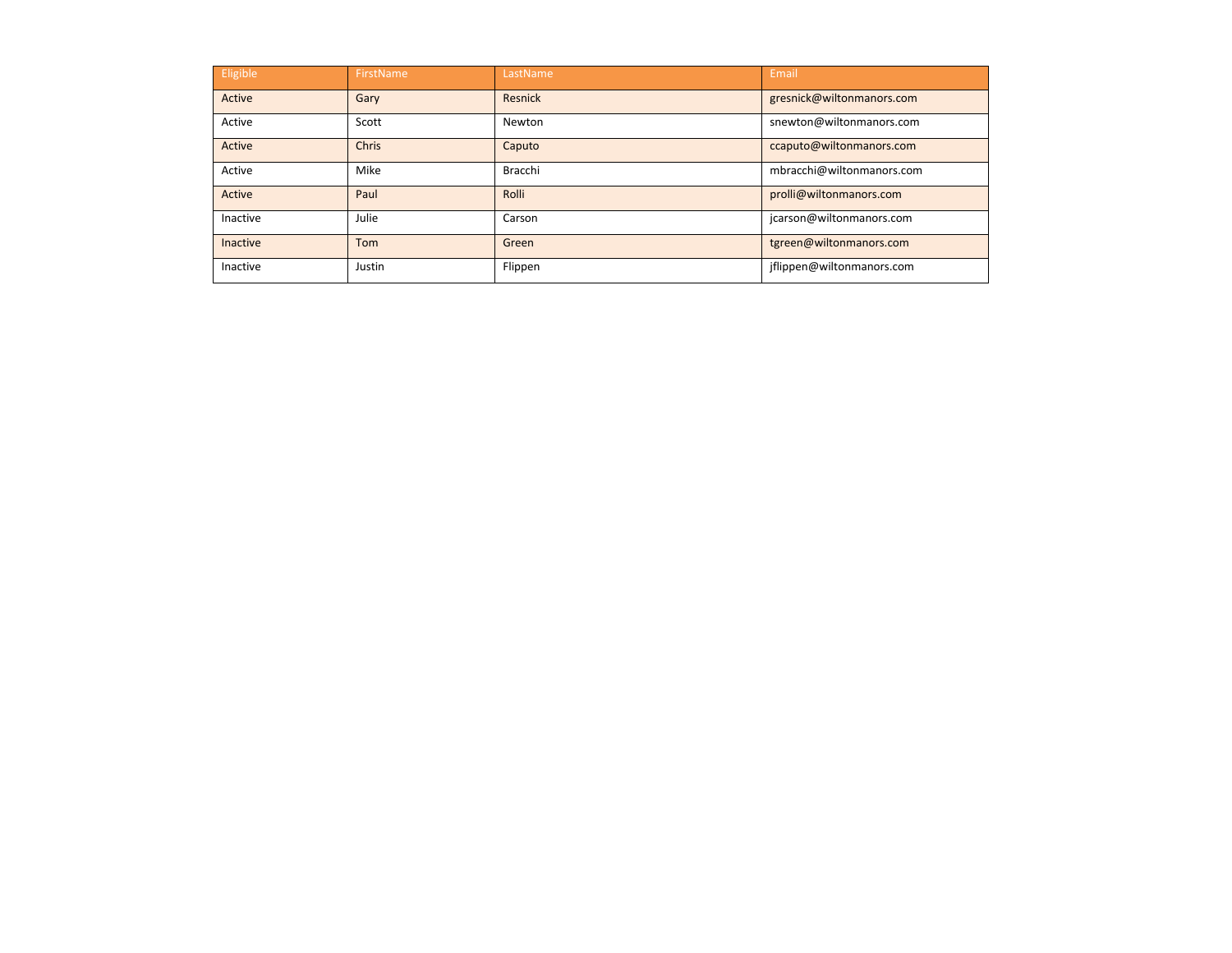| Eligible | <b>FirstName</b> | LastName | Email                     |
|----------|------------------|----------|---------------------------|
| Active   | Gary             | Resnick  | gresnick@wiltonmanors.com |
| Active   | Scott            | Newton   | snewton@wiltonmanors.com  |
| Active   | <b>Chris</b>     | Caputo   | ccaputo@wiltonmanors.com  |
| Active   | Mike             | Bracchi  | mbracchi@wiltonmanors.com |
| Active   | Paul             | Rolli    | prolli@wiltonmanors.com   |
| Inactive | Julie            | Carson   | jcarson@wiltonmanors.com  |
| Inactive | Tom              | Green    | tgreen@wiltonmanors.com   |
| Inactive | Justin           | Flippen  | jflippen@wiltonmanors.com |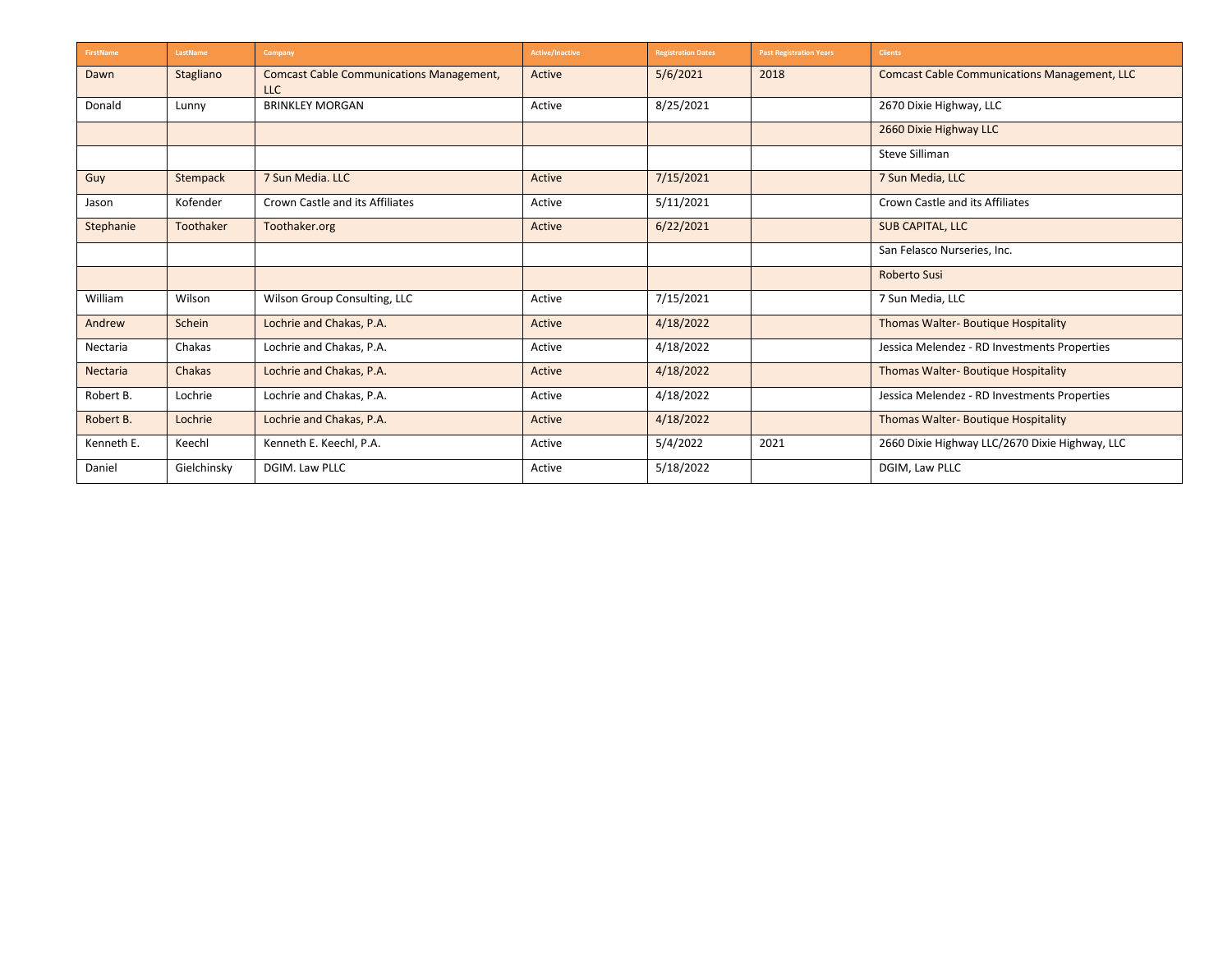| <b>FirstName</b> | LastName    | Company                                                       | <b>Active/Inactive</b> | <b>Registration Dates</b> | <b>Past Registration Years</b> | <b>Clients</b>                                      |
|------------------|-------------|---------------------------------------------------------------|------------------------|---------------------------|--------------------------------|-----------------------------------------------------|
| Dawn             | Stagliano   | <b>Comcast Cable Communications Management,</b><br><b>LLC</b> | Active                 | 5/6/2021                  | 2018                           | <b>Comcast Cable Communications Management, LLC</b> |
| Donald           | Lunny       | <b>BRINKLEY MORGAN</b>                                        | Active                 | 8/25/2021                 |                                | 2670 Dixie Highway, LLC                             |
|                  |             |                                                               |                        |                           |                                | 2660 Dixie Highway LLC                              |
|                  |             |                                                               |                        |                           |                                | Steve Silliman                                      |
| Guy              | Stempack    | 7 Sun Media, LLC                                              | Active                 | 7/15/2021                 |                                | 7 Sun Media, LLC                                    |
| Jason            | Kofender    | Crown Castle and its Affiliates                               | Active                 | 5/11/2021                 |                                | Crown Castle and its Affiliates                     |
| Stephanie        | Toothaker   | Toothaker.org                                                 | Active                 | 6/22/2021                 |                                | <b>SUB CAPITAL, LLC</b>                             |
|                  |             |                                                               |                        |                           |                                | San Felasco Nurseries, Inc.                         |
|                  |             |                                                               |                        |                           |                                | <b>Roberto Susi</b>                                 |
| William          | Wilson      | Wilson Group Consulting, LLC                                  | Active                 | 7/15/2021                 |                                | 7 Sun Media, LLC                                    |
| Andrew           | Schein      | Lochrie and Chakas, P.A.                                      | Active                 | 4/18/2022                 |                                | Thomas Walter-Boutique Hospitality                  |
| Nectaria         | Chakas      | Lochrie and Chakas, P.A.                                      | Active                 | 4/18/2022                 |                                | Jessica Melendez - RD Investments Properties        |
| Nectaria         | Chakas      | Lochrie and Chakas, P.A.                                      | Active                 | 4/18/2022                 |                                | Thomas Walter-Boutique Hospitality                  |
| Robert B.        | Lochrie     | Lochrie and Chakas, P.A.                                      | Active                 | 4/18/2022                 |                                | Jessica Melendez - RD Investments Properties        |
| Robert B.        | Lochrie     | Lochrie and Chakas, P.A.                                      | Active                 | 4/18/2022                 |                                | Thomas Walter- Boutique Hospitality                 |
| Kenneth E.       | Keechl      | Kenneth E. Keechl, P.A.                                       | Active                 | 5/4/2022                  | 2021                           | 2660 Dixie Highway LLC/2670 Dixie Highway, LLC      |
| Daniel           | Gielchinsky | DGIM. Law PLLC                                                | Active                 | 5/18/2022                 |                                | DGIM, Law PLLC                                      |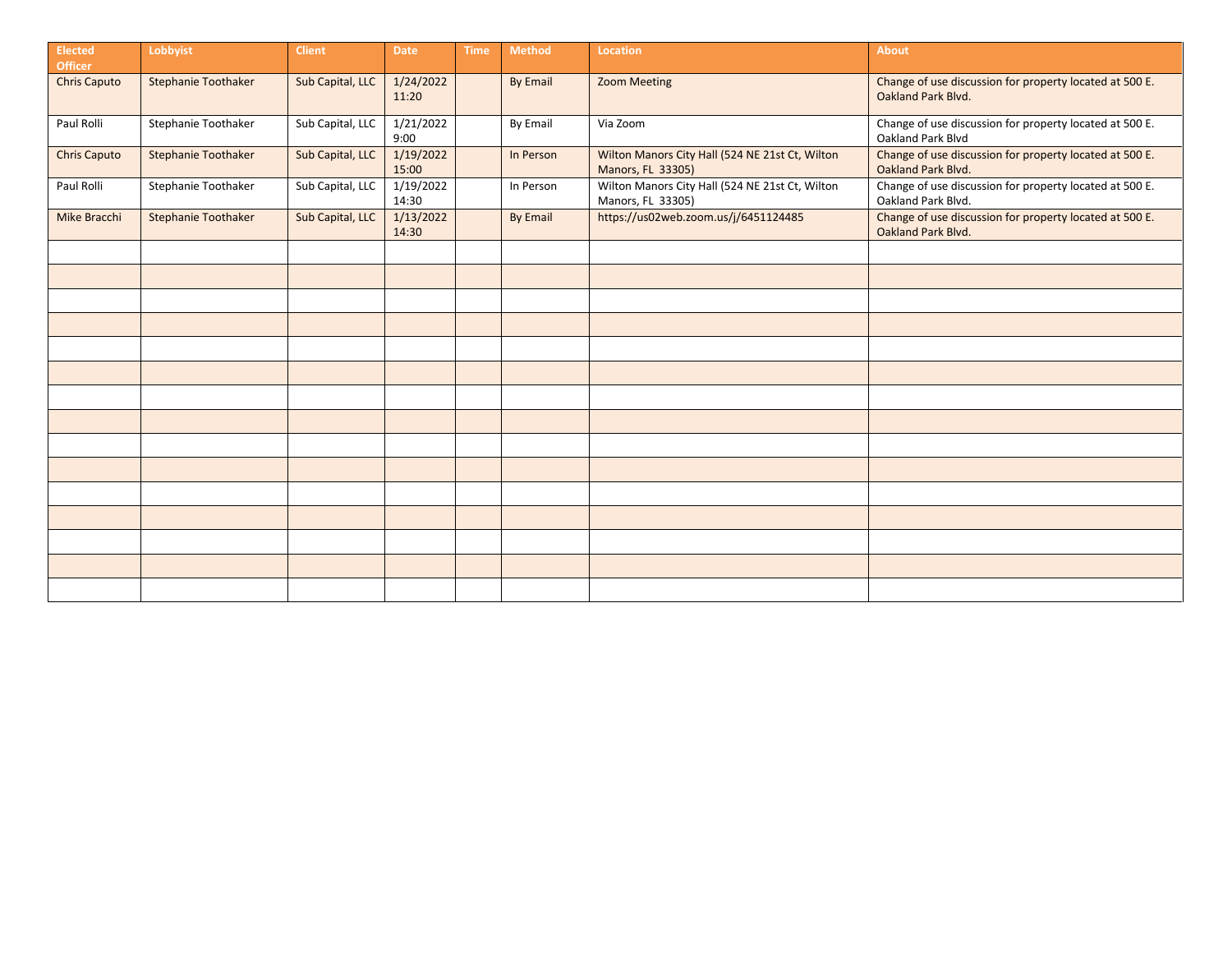| <b>Elected</b><br><b>Officer</b> | Lobbyist                   | <b>Client</b>    | <b>Date</b>        | <b>Time</b> | <b>Method</b>   | Location                                                             | <b>About</b>                                                                  |
|----------------------------------|----------------------------|------------------|--------------------|-------------|-----------------|----------------------------------------------------------------------|-------------------------------------------------------------------------------|
| <b>Chris Caputo</b>              | <b>Stephanie Toothaker</b> | Sub Capital, LLC | 1/24/2022<br>11:20 |             | <b>By Email</b> | <b>Zoom Meeting</b>                                                  | Change of use discussion for property located at 500 E.<br>Oakland Park Blvd. |
| Paul Rolli                       | Stephanie Toothaker        | Sub Capital, LLC | 1/21/2022<br>9:00  |             | By Email        | Via Zoom                                                             | Change of use discussion for property located at 500 E.<br>Oakland Park Blvd  |
| <b>Chris Caputo</b>              | Stephanie Toothaker        | Sub Capital, LLC | 1/19/2022<br>15:00 |             | In Person       | Wilton Manors City Hall (524 NE 21st Ct, Wilton<br>Manors, FL 33305) | Change of use discussion for property located at 500 E.<br>Oakland Park Blvd. |
| Paul Rolli                       | Stephanie Toothaker        | Sub Capital, LLC | 1/19/2022<br>14:30 |             | In Person       | Wilton Manors City Hall (524 NE 21st Ct, Wilton<br>Manors, FL 33305) | Change of use discussion for property located at 500 E.<br>Oakland Park Blvd. |
| Mike Bracchi                     | Stephanie Toothaker        | Sub Capital, LLC | 1/13/2022<br>14:30 |             | <b>By Email</b> | https://us02web.zoom.us/j/6451124485                                 | Change of use discussion for property located at 500 E.<br>Oakland Park Blvd. |
|                                  |                            |                  |                    |             |                 |                                                                      |                                                                               |
|                                  |                            |                  |                    |             |                 |                                                                      |                                                                               |
|                                  |                            |                  |                    |             |                 |                                                                      |                                                                               |
|                                  |                            |                  |                    |             |                 |                                                                      |                                                                               |
|                                  |                            |                  |                    |             |                 |                                                                      |                                                                               |
|                                  |                            |                  |                    |             |                 |                                                                      |                                                                               |
|                                  |                            |                  |                    |             |                 |                                                                      |                                                                               |
|                                  |                            |                  |                    |             |                 |                                                                      |                                                                               |
|                                  |                            |                  |                    |             |                 |                                                                      |                                                                               |
|                                  |                            |                  |                    |             |                 |                                                                      |                                                                               |
|                                  |                            |                  |                    |             |                 |                                                                      |                                                                               |
|                                  |                            |                  |                    |             |                 |                                                                      |                                                                               |
|                                  |                            |                  |                    |             |                 |                                                                      |                                                                               |
|                                  |                            |                  |                    |             |                 |                                                                      |                                                                               |
|                                  |                            |                  |                    |             |                 |                                                                      |                                                                               |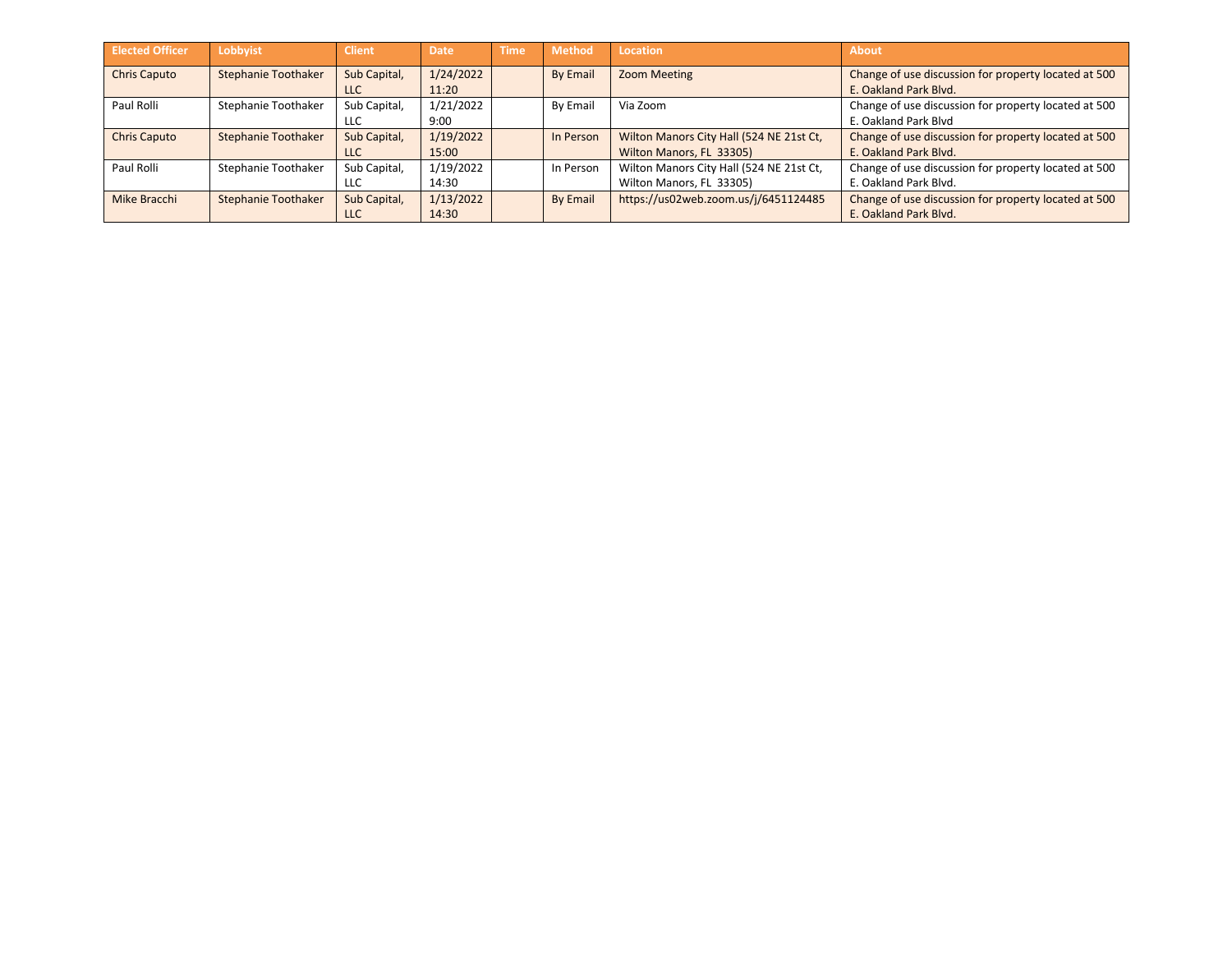| <b>Elected Officer</b> | Lobbyist                   | <b>Client</b>              | <b>Date</b>        | <b>Time</b> | <b>Method</b>   | Location                                                             | About                                                                         |
|------------------------|----------------------------|----------------------------|--------------------|-------------|-----------------|----------------------------------------------------------------------|-------------------------------------------------------------------------------|
| <b>Chris Caputo</b>    | <b>Stephanie Toothaker</b> | Sub Capital,<br><b>LLC</b> | 1/24/2022<br>11:20 |             | <b>By Email</b> | Zoom Meeting                                                         | Change of use discussion for property located at 500<br>E. Oakland Park Blyd. |
| Paul Rolli             | Stephanie Toothaker        | Sub Capital,<br><b>LLC</b> | 1/21/2022<br>9:00  |             | <b>By Email</b> | Via Zoom                                                             | Change of use discussion for property located at 500<br>E. Oakland Park Blyd  |
| <b>Chris Caputo</b>    | <b>Stephanie Toothaker</b> | Sub Capital,<br><b>LLC</b> | 1/19/2022<br>15:00 |             | In Person       | Wilton Manors City Hall (524 NE 21st Ct,<br>Wilton Manors, FL 33305) | Change of use discussion for property located at 500<br>E. Oakland Park Blyd. |
| Paul Rolli             | Stephanie Toothaker        | Sub Capital,<br><b>LLC</b> | 1/19/2022<br>14:30 |             | In Person       | Wilton Manors City Hall (524 NE 21st Ct,<br>Wilton Manors, FL 33305) | Change of use discussion for property located at 500<br>E. Oakland Park Blvd. |
| Mike Bracchi           | Stephanie Toothaker        | Sub Capital,<br><b>LLC</b> | 1/13/2022<br>14:30 |             | <b>By Email</b> | https://us02web.zoom.us/j/6451124485                                 | Change of use discussion for property located at 500<br>E. Oakland Park Blyd. |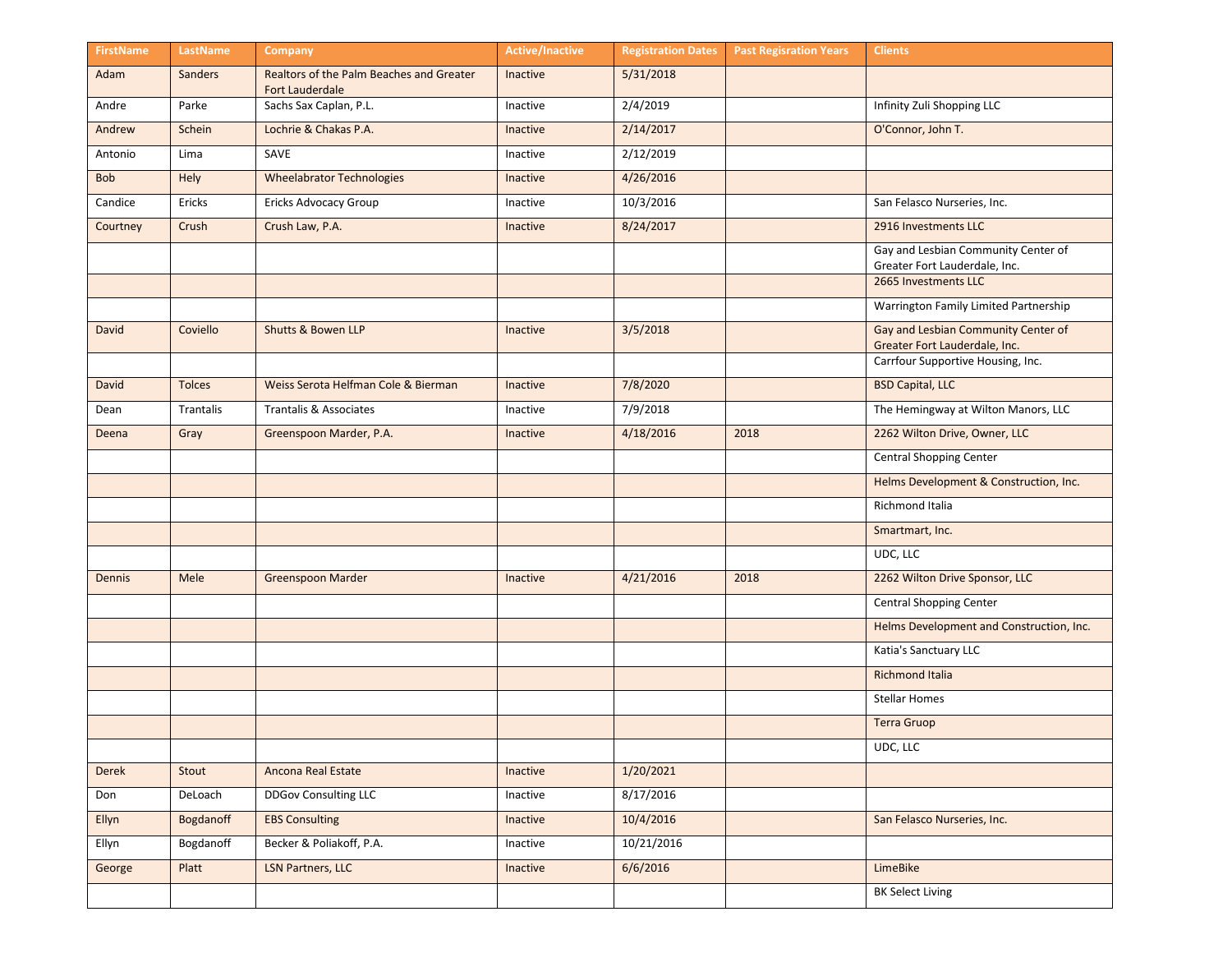| <b>FirstName</b> | LastName         | Company                                                     | <b>Active/Inactive</b> | <b>Registration Dates</b> | <b>Past Regisration Years</b> | <b>Clients</b>                                                       |
|------------------|------------------|-------------------------------------------------------------|------------------------|---------------------------|-------------------------------|----------------------------------------------------------------------|
| Adam             | <b>Sanders</b>   | Realtors of the Palm Beaches and Greater<br>Fort Lauderdale | Inactive               | 5/31/2018                 |                               |                                                                      |
| Andre            | Parke            | Sachs Sax Caplan, P.L.                                      | Inactive               | 2/4/2019                  |                               | Infinity Zuli Shopping LLC                                           |
| Andrew           | Schein           | Lochrie & Chakas P.A.                                       | Inactive               | 2/14/2017                 |                               | O'Connor, John T.                                                    |
| Antonio          | Lima             | SAVE                                                        | Inactive               | 2/12/2019                 |                               |                                                                      |
| <b>Bob</b>       | Hely             | <b>Wheelabrator Technologies</b>                            | <b>Inactive</b>        | 4/26/2016                 |                               |                                                                      |
| Candice          | Ericks           | Ericks Advocacy Group                                       | Inactive               | 10/3/2016                 |                               | San Felasco Nurseries, Inc.                                          |
| Courtney         | Crush            | Crush Law, P.A.                                             | Inactive               | 8/24/2017                 |                               | 2916 Investments LLC                                                 |
|                  |                  |                                                             |                        |                           |                               | Gay and Lesbian Community Center of<br>Greater Fort Lauderdale, Inc. |
|                  |                  |                                                             |                        |                           |                               | 2665 Investments LLC                                                 |
|                  |                  |                                                             |                        |                           |                               | Warrington Family Limited Partnership                                |
| David            | Coviello         | <b>Shutts &amp; Bowen LLP</b>                               | Inactive               | 3/5/2018                  |                               | Gay and Lesbian Community Center of<br>Greater Fort Lauderdale, Inc. |
|                  |                  |                                                             |                        |                           |                               | Carrfour Supportive Housing, Inc.                                    |
| David            | <b>Tolces</b>    | Weiss Serota Helfman Cole & Bierman                         | Inactive               | 7/8/2020                  |                               | <b>BSD Capital, LLC</b>                                              |
| Dean             | Trantalis        | Trantalis & Associates                                      | Inactive               | 7/9/2018                  |                               | The Hemingway at Wilton Manors, LLC                                  |
| Deena            | Gray             | Greenspoon Marder, P.A.                                     | <b>Inactive</b>        | 4/18/2016                 | 2018                          | 2262 Wilton Drive, Owner, LLC                                        |
|                  |                  |                                                             |                        |                           |                               | <b>Central Shopping Center</b>                                       |
|                  |                  |                                                             |                        |                           |                               | Helms Development & Construction, Inc.                               |
|                  |                  |                                                             |                        |                           |                               | Richmond Italia                                                      |
|                  |                  |                                                             |                        |                           |                               | Smartmart, Inc.                                                      |
|                  |                  |                                                             |                        |                           |                               | UDC, LLC                                                             |
| Dennis           | Mele             | <b>Greenspoon Marder</b>                                    | Inactive               | 4/21/2016                 | 2018                          | 2262 Wilton Drive Sponsor, LLC                                       |
|                  |                  |                                                             |                        |                           |                               | <b>Central Shopping Center</b>                                       |
|                  |                  |                                                             |                        |                           |                               | Helms Development and Construction, Inc.                             |
|                  |                  |                                                             |                        |                           |                               | Katia's Sanctuary LLC                                                |
|                  |                  |                                                             |                        |                           |                               | <b>Richmond Italia</b>                                               |
|                  |                  |                                                             |                        |                           |                               | <b>Stellar Homes</b>                                                 |
|                  |                  |                                                             |                        |                           |                               | <b>Terra Gruop</b>                                                   |
|                  |                  |                                                             |                        |                           |                               | UDC, LLC                                                             |
| Derek            | Stout            | Ancona Real Estate                                          | Inactive               | 1/20/2021                 |                               |                                                                      |
| Don              | DeLoach          | <b>DDGov Consulting LLC</b>                                 | Inactive               | 8/17/2016                 |                               |                                                                      |
| Ellyn            | <b>Bogdanoff</b> | <b>EBS Consulting</b>                                       | Inactive               | 10/4/2016                 |                               | San Felasco Nurseries, Inc.                                          |
| Ellyn            | Bogdanoff        | Becker & Poliakoff, P.A.                                    | Inactive               | 10/21/2016                |                               |                                                                      |
| George           | Platt            | <b>LSN Partners, LLC</b>                                    | Inactive               | 6/6/2016                  |                               | LimeBike                                                             |
|                  |                  |                                                             |                        |                           |                               | <b>BK Select Living</b>                                              |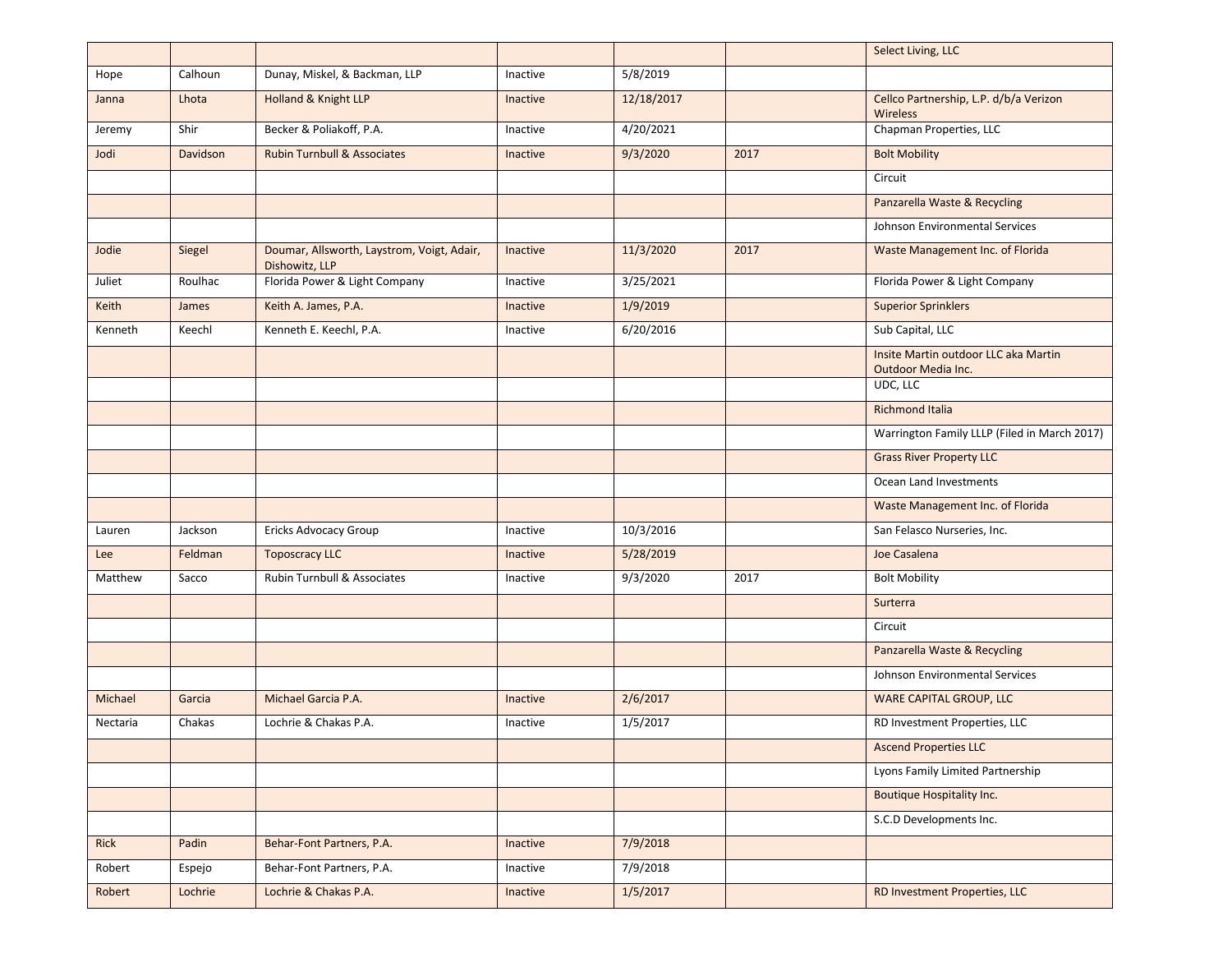|             |          |                                                              |          |            |      | <b>Select Living, LLC</b>                                  |
|-------------|----------|--------------------------------------------------------------|----------|------------|------|------------------------------------------------------------|
| Hope        | Calhoun  | Dunay, Miskel, & Backman, LLP                                | Inactive | 5/8/2019   |      |                                                            |
| Janna       | Lhota    | Holland & Knight LLP                                         | Inactive | 12/18/2017 |      | Cellco Partnership, L.P. d/b/a Verizon<br><b>Wireless</b>  |
| Jeremy      | Shir     | Becker & Poliakoff, P.A.                                     | Inactive | 4/20/2021  |      | Chapman Properties, LLC                                    |
| Jodi        | Davidson | <b>Rubin Turnbull &amp; Associates</b>                       | Inactive | 9/3/2020   | 2017 | <b>Bolt Mobility</b>                                       |
|             |          |                                                              |          |            |      | Circuit                                                    |
|             |          |                                                              |          |            |      | Panzarella Waste & Recycling                               |
|             |          |                                                              |          |            |      | Johnson Environmental Services                             |
| Jodie       | Siegel   | Doumar, Allsworth, Laystrom, Voigt, Adair,<br>Dishowitz, LLP | Inactive | 11/3/2020  | 2017 | Waste Management Inc. of Florida                           |
| Juliet      | Roulhac  | Florida Power & Light Company                                | Inactive | 3/25/2021  |      | Florida Power & Light Company                              |
| Keith       | James    | Keith A. James, P.A.                                         | Inactive | 1/9/2019   |      | <b>Superior Sprinklers</b>                                 |
| Kenneth     | Keechl   | Kenneth E. Keechl, P.A.                                      | Inactive | 6/20/2016  |      | Sub Capital, LLC                                           |
|             |          |                                                              |          |            |      | Insite Martin outdoor LLC aka Martin<br>Outdoor Media Inc. |
|             |          |                                                              |          |            |      | UDC, LLC                                                   |
|             |          |                                                              |          |            |      | <b>Richmond Italia</b>                                     |
|             |          |                                                              |          |            |      | Warrington Family LLLP (Filed in March 2017)               |
|             |          |                                                              |          |            |      | <b>Grass River Property LLC</b>                            |
|             |          |                                                              |          |            |      | Ocean Land Investments                                     |
|             |          |                                                              |          |            |      | Waste Management Inc. of Florida                           |
| Lauren      | Jackson  | Ericks Advocacy Group                                        | Inactive | 10/3/2016  |      | San Felasco Nurseries, Inc.                                |
| Lee         | Feldman  | <b>Toposcracy LLC</b>                                        | Inactive | 5/28/2019  |      | Joe Casalena                                               |
| Matthew     | Sacco    | Rubin Turnbull & Associates                                  | Inactive | 9/3/2020   | 2017 | <b>Bolt Mobility</b>                                       |
|             |          |                                                              |          |            |      | Surterra                                                   |
|             |          |                                                              |          |            |      | Circuit                                                    |
|             |          |                                                              |          |            |      | Panzarella Waste & Recycling                               |
|             |          |                                                              |          |            |      | Johnson Environmental Services                             |
| Michael     | Garcia   | Michael Garcia P.A.                                          | Inactive | 2/6/2017   |      | WARE CAPITAL GROUP, LLC                                    |
| Nectaria    | Chakas   | Lochrie & Chakas P.A.                                        | Inactive | 1/5/2017   |      | RD Investment Properties, LLC                              |
|             |          |                                                              |          |            |      | <b>Ascend Properties LLC</b>                               |
|             |          |                                                              |          |            |      | Lyons Family Limited Partnership                           |
|             |          |                                                              |          |            |      | <b>Boutique Hospitality Inc.</b>                           |
|             |          |                                                              |          |            |      | S.C.D Developments Inc.                                    |
| <b>Rick</b> | Padin    | Behar-Font Partners, P.A.                                    | Inactive | 7/9/2018   |      |                                                            |
| Robert      | Espejo   | Behar-Font Partners, P.A.                                    | Inactive | 7/9/2018   |      |                                                            |
| Robert      | Lochrie  | Lochrie & Chakas P.A.                                        | Inactive | 1/5/2017   |      | <b>RD Investment Properties, LLC</b>                       |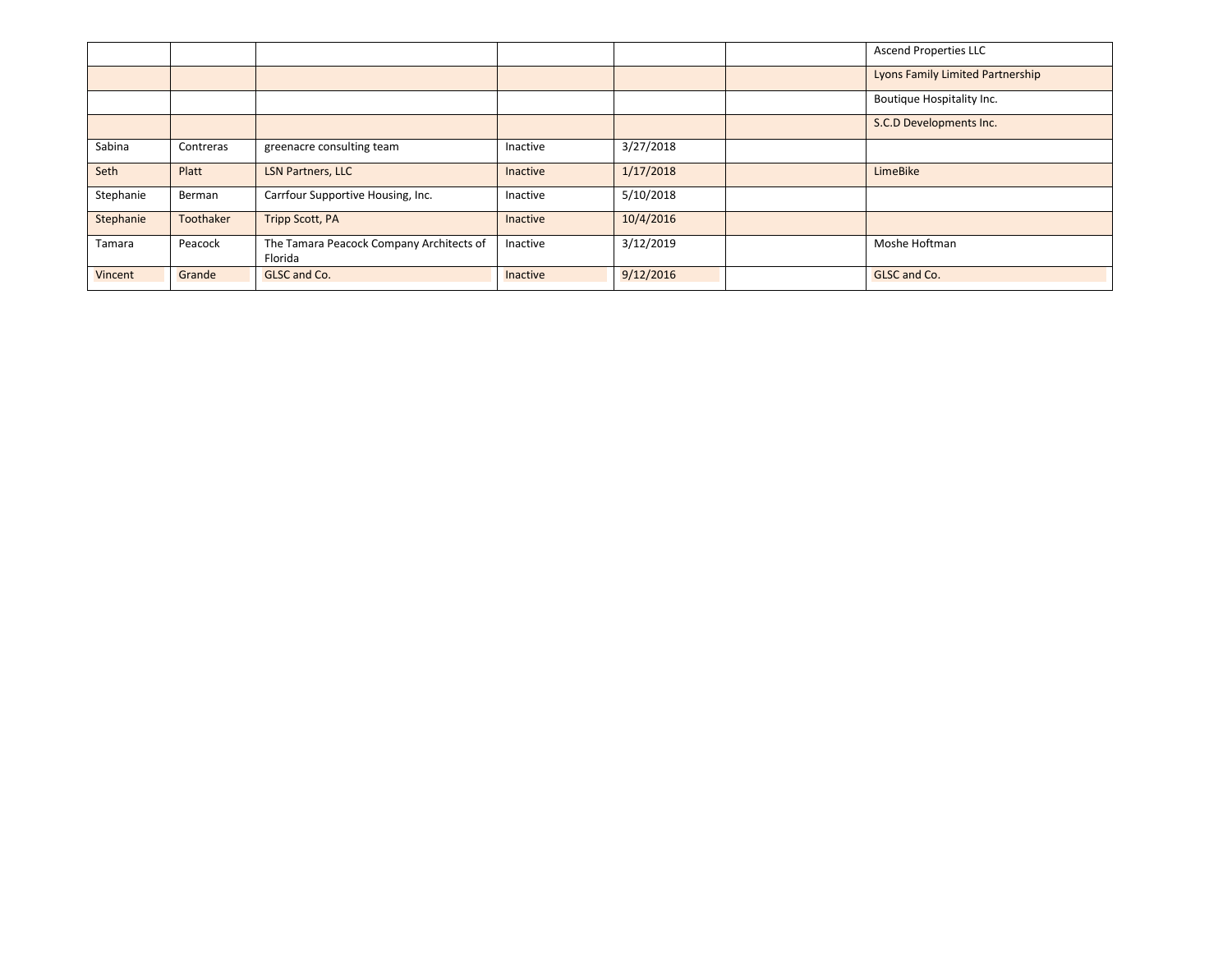|           |           |                                                     |                 |           | <b>Ascend Properties LLC</b>     |
|-----------|-----------|-----------------------------------------------------|-----------------|-----------|----------------------------------|
|           |           |                                                     |                 |           | Lyons Family Limited Partnership |
|           |           |                                                     |                 |           | Boutique Hospitality Inc.        |
|           |           |                                                     |                 |           | S.C.D Developments Inc.          |
| Sabina    | Contreras | greenacre consulting team                           | Inactive        | 3/27/2018 |                                  |
| Seth      | Platt     | <b>LSN Partners, LLC</b>                            | Inactive        | 1/17/2018 | LimeBike                         |
| Stephanie | Berman    | Carrfour Supportive Housing, Inc.                   | Inactive        | 5/10/2018 |                                  |
| Stephanie | Toothaker | <b>Tripp Scott, PA</b>                              | <b>Inactive</b> | 10/4/2016 |                                  |
| Tamara    | Peacock   | The Tamara Peacock Company Architects of<br>Florida | Inactive        | 3/12/2019 | Moshe Hoftman                    |
| Vincent   | Grande    | GLSC and Co.                                        | Inactive        | 9/12/2016 | GLSC and Co.                     |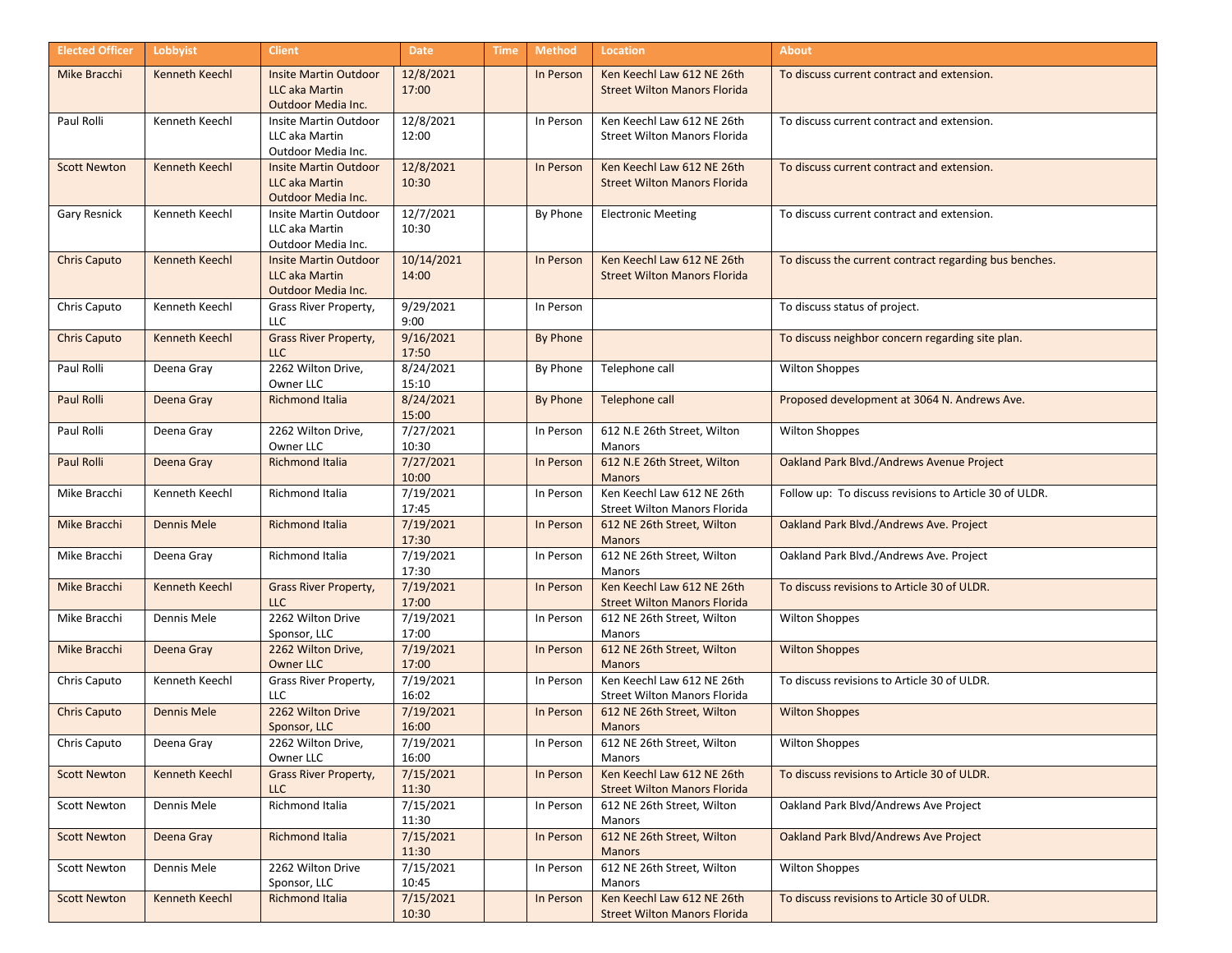| <b>Elected Officer</b> | Lobbyist              | <b>Client</b>                                      | <b>Date</b>        | <b>Time</b> | <b>Method</b> | <b>Location</b>                                                   | <b>About</b>                                           |
|------------------------|-----------------------|----------------------------------------------------|--------------------|-------------|---------------|-------------------------------------------------------------------|--------------------------------------------------------|
| Mike Bracchi           | <b>Kenneth Keechl</b> | <b>Insite Martin Outdoor</b>                       | 12/8/2021          |             | In Person     | Ken Keechl Law 612 NE 26th                                        | To discuss current contract and extension.             |
|                        |                       | LLC aka Martin<br>Outdoor Media Inc.               | 17:00              |             |               | <b>Street Wilton Manors Florida</b>                               |                                                        |
| Paul Rolli             | Kenneth Keechl        | Insite Martin Outdoor                              | 12/8/2021          |             | In Person     | Ken Keechl Law 612 NE 26th                                        | To discuss current contract and extension.             |
|                        |                       | LLC aka Martin<br>Outdoor Media Inc.               | 12:00              |             |               | <b>Street Wilton Manors Florida</b>                               |                                                        |
| <b>Scott Newton</b>    | Kenneth Keechl        | <b>Insite Martin Outdoor</b>                       | 12/8/2021          |             | In Person     | Ken Keechl Law 612 NE 26th                                        | To discuss current contract and extension.             |
|                        |                       | LLC aka Martin<br>Outdoor Media Inc.               | 10:30              |             |               | <b>Street Wilton Manors Florida</b>                               |                                                        |
| <b>Gary Resnick</b>    | Kenneth Keechl        | Insite Martin Outdoor                              | 12/7/2021          |             | By Phone      | <b>Electronic Meeting</b>                                         | To discuss current contract and extension.             |
|                        |                       | LLC aka Martin                                     | 10:30              |             |               |                                                                   |                                                        |
| <b>Chris Caputo</b>    | Kenneth Keechl        | Outdoor Media Inc.<br><b>Insite Martin Outdoor</b> | 10/14/2021         |             | In Person     | Ken Keechl Law 612 NE 26th                                        | To discuss the current contract regarding bus benches. |
|                        |                       | LLC aka Martin                                     | 14:00              |             |               | <b>Street Wilton Manors Florida</b>                               |                                                        |
|                        |                       | Outdoor Media Inc.                                 |                    |             |               |                                                                   |                                                        |
| Chris Caputo           | Kenneth Keechl        | Grass River Property,<br>LLC                       | 9/29/2021<br>9:00  |             | In Person     |                                                                   | To discuss status of project.                          |
| <b>Chris Caputo</b>    | <b>Kenneth Keechl</b> | Grass River Property,                              | 9/16/2021          |             | By Phone      |                                                                   | To discuss neighbor concern regarding site plan.       |
|                        |                       | <b>LLC</b>                                         | 17:50              |             |               |                                                                   |                                                        |
| Paul Rolli             | Deena Gray            | 2262 Wilton Drive,<br>Owner LLC                    | 8/24/2021<br>15:10 |             | By Phone      | Telephone call                                                    | <b>Wilton Shoppes</b>                                  |
| Paul Rolli             | Deena Gray            | <b>Richmond Italia</b>                             | 8/24/2021          |             | By Phone      | Telephone call                                                    | Proposed development at 3064 N. Andrews Ave.           |
|                        |                       |                                                    | 15:00              |             |               |                                                                   |                                                        |
| Paul Rolli             | Deena Gray            | 2262 Wilton Drive,<br>Owner LLC                    | 7/27/2021<br>10:30 |             | In Person     | 612 N.E 26th Street, Wilton<br>Manors                             | <b>Wilton Shoppes</b>                                  |
| Paul Rolli             | Deena Gray            | <b>Richmond Italia</b>                             | 7/27/2021          |             | In Person     | 612 N.E 26th Street, Wilton                                       | Oakland Park Blvd./Andrews Avenue Project              |
|                        |                       |                                                    | 10:00              |             |               | <b>Manors</b>                                                     |                                                        |
| Mike Bracchi           | Kenneth Keechl        | Richmond Italia                                    | 7/19/2021          |             | In Person     | Ken Keechl Law 612 NE 26th                                        | Follow up: To discuss revisions to Article 30 of ULDR. |
| Mike Bracchi           | <b>Dennis Mele</b>    | <b>Richmond Italia</b>                             | 17:45<br>7/19/2021 |             | In Person     | <b>Street Wilton Manors Florida</b><br>612 NE 26th Street, Wilton | Oakland Park Blvd./Andrews Ave. Project                |
|                        |                       |                                                    | 17:30              |             |               | <b>Manors</b>                                                     |                                                        |
| Mike Bracchi           | Deena Gray            | Richmond Italia                                    | 7/19/2021          |             | In Person     | 612 NE 26th Street, Wilton                                        | Oakland Park Blvd./Andrews Ave. Project                |
| Mike Bracchi           | Kenneth Keechl        | <b>Grass River Property,</b>                       | 17:30<br>7/19/2021 |             | In Person     | Manors<br>Ken Keechl Law 612 NE 26th                              | To discuss revisions to Article 30 of ULDR.            |
|                        |                       | <b>LLC</b>                                         | 17:00              |             |               | <b>Street Wilton Manors Florida</b>                               |                                                        |
| Mike Bracchi           | Dennis Mele           | 2262 Wilton Drive                                  | 7/19/2021          |             | In Person     | 612 NE 26th Street, Wilton                                        | <b>Wilton Shoppes</b>                                  |
| Mike Bracchi           | Deena Gray            | Sponsor, LLC<br>2262 Wilton Drive,                 | 17:00<br>7/19/2021 |             | In Person     | Manors<br>612 NE 26th Street, Wilton                              | <b>Wilton Shoppes</b>                                  |
|                        |                       | <b>Owner LLC</b>                                   | 17:00              |             |               | <b>Manors</b>                                                     |                                                        |
| Chris Caputo           | Kenneth Keechl        | Grass River Property,                              | 7/19/2021          |             | In Person     | Ken Keechl Law 612 NE 26th                                        | To discuss revisions to Article 30 of ULDR.            |
| <b>Chris Caputo</b>    | <b>Dennis Mele</b>    | <b>LLC</b><br>2262 Wilton Drive                    | 16:02<br>7/19/2021 |             | In Person     | <b>Street Wilton Manors Florida</b><br>612 NE 26th Street, Wilton | <b>Wilton Shoppes</b>                                  |
|                        |                       | Sponsor, LLC                                       | 16:00              |             |               | <b>Manors</b>                                                     |                                                        |
| Chris Caputo           | Deena Gray            | 2262 Wilton Drive,                                 | 7/19/2021          |             | In Person     | 612 NE 26th Street, Wilton                                        | Wilton Shoppes                                         |
|                        |                       | Owner LLC                                          | 16:00              |             |               | Manors                                                            |                                                        |
| <b>Scott Newton</b>    | Kenneth Keechl        | <b>Grass River Property,</b><br><b>LLC</b>         | 7/15/2021<br>11:30 |             | In Person     | Ken Keechl Law 612 NE 26th<br><b>Street Wilton Manors Florida</b> | To discuss revisions to Article 30 of ULDR.            |
| <b>Scott Newton</b>    | Dennis Mele           | Richmond Italia                                    | 7/15/2021          |             | In Person     | 612 NE 26th Street, Wilton                                        | Oakland Park Blvd/Andrews Ave Project                  |
|                        |                       |                                                    | 11:30              |             |               | Manors                                                            |                                                        |
| <b>Scott Newton</b>    | Deena Gray            | <b>Richmond Italia</b>                             | 7/15/2021<br>11:30 |             | In Person     | 612 NE 26th Street, Wilton<br><b>Manors</b>                       | Oakland Park Blvd/Andrews Ave Project                  |
| <b>Scott Newton</b>    | Dennis Mele           | 2262 Wilton Drive                                  | 7/15/2021          |             | In Person     | 612 NE 26th Street, Wilton                                        | <b>Wilton Shoppes</b>                                  |
|                        | Kenneth Keechl        | Sponsor, LLC<br><b>Richmond Italia</b>             | 10:45<br>7/15/2021 |             |               | Manors<br>Ken Keechl Law 612 NE 26th                              | To discuss revisions to Article 30 of ULDR.            |
| <b>Scott Newton</b>    |                       |                                                    | 10:30              |             | In Person     | <b>Street Wilton Manors Florida</b>                               |                                                        |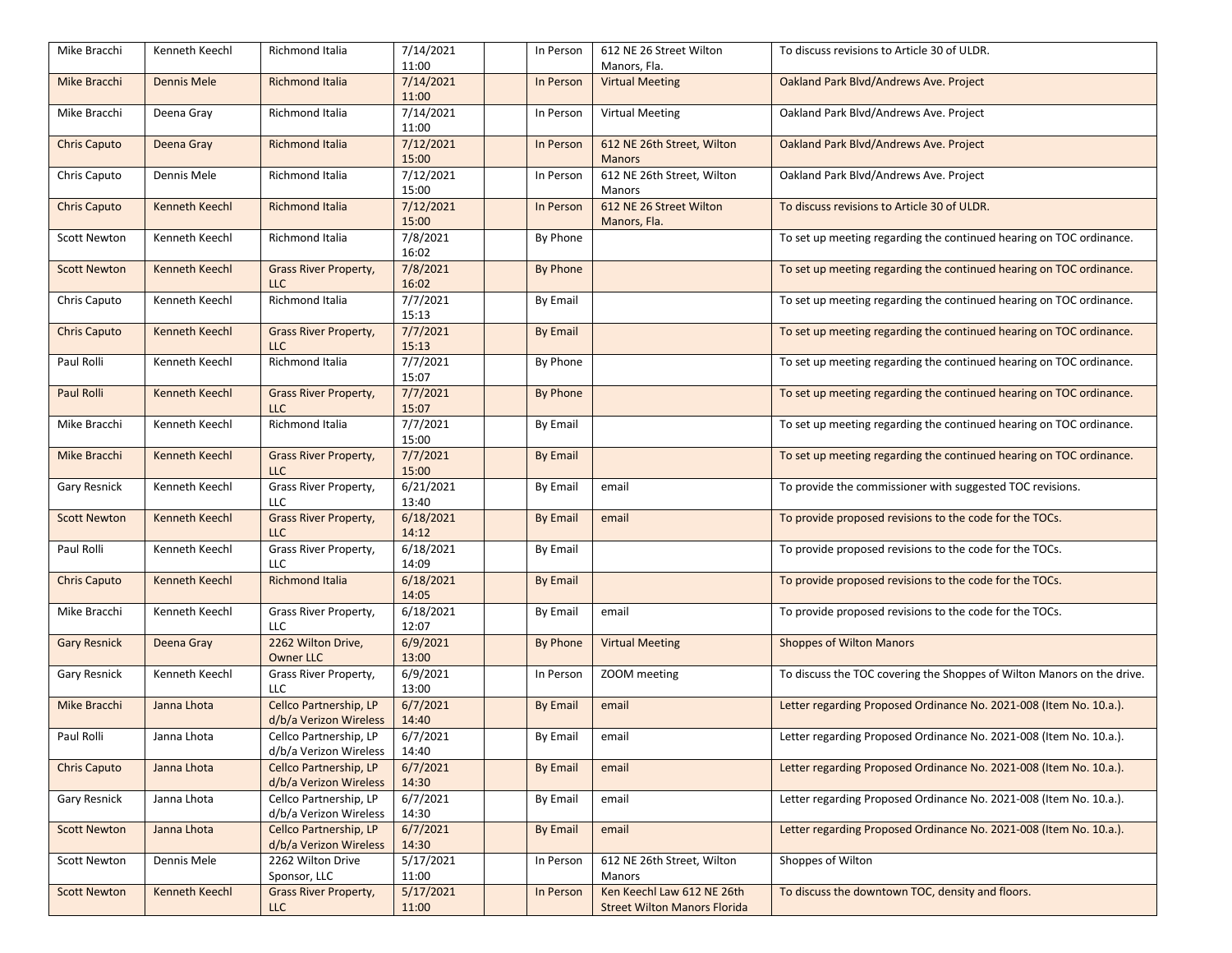| Mike Bracchi        | Kenneth Keechl        | Richmond Italia                                  | 7/14/2021          | In Person       | 612 NE 26 Street Wilton                                           | To discuss revisions to Article 30 of ULDR.                            |
|---------------------|-----------------------|--------------------------------------------------|--------------------|-----------------|-------------------------------------------------------------------|------------------------------------------------------------------------|
|                     |                       |                                                  | 11:00              |                 | Manors, Fla.                                                      |                                                                        |
| Mike Bracchi        | <b>Dennis Mele</b>    | <b>Richmond Italia</b>                           | 7/14/2021<br>11:00 | In Person       | <b>Virtual Meeting</b>                                            | Oakland Park Blvd/Andrews Ave. Project                                 |
| Mike Bracchi        | Deena Gray            | Richmond Italia                                  | 7/14/2021<br>11:00 | In Person       | <b>Virtual Meeting</b>                                            | Oakland Park Blvd/Andrews Ave. Project                                 |
| <b>Chris Caputo</b> | Deena Gray            | <b>Richmond Italia</b>                           | 7/12/2021<br>15:00 | In Person       | 612 NE 26th Street, Wilton<br><b>Manors</b>                       | Oakland Park Blvd/Andrews Ave. Project                                 |
| Chris Caputo        | Dennis Mele           | Richmond Italia                                  | 7/12/2021<br>15:00 | In Person       | 612 NE 26th Street, Wilton<br>Manors                              | Oakland Park Blvd/Andrews Ave. Project                                 |
| <b>Chris Caputo</b> | Kenneth Keechl        | <b>Richmond Italia</b>                           | 7/12/2021<br>15:00 | In Person       | 612 NE 26 Street Wilton<br>Manors, Fla.                           | To discuss revisions to Article 30 of ULDR.                            |
| Scott Newton        | Kenneth Keechl        | Richmond Italia                                  | 7/8/2021<br>16:02  | By Phone        |                                                                   | To set up meeting regarding the continued hearing on TOC ordinance.    |
| <b>Scott Newton</b> | Kenneth Keechl        | <b>Grass River Property,</b><br><b>LLC</b>       | 7/8/2021<br>16:02  | By Phone        |                                                                   | To set up meeting regarding the continued hearing on TOC ordinance.    |
| Chris Caputo        | Kenneth Keechl        | Richmond Italia                                  | 7/7/2021<br>15:13  | By Email        |                                                                   | To set up meeting regarding the continued hearing on TOC ordinance.    |
| <b>Chris Caputo</b> | Kenneth Keechl        | <b>Grass River Property,</b><br><b>LLC</b>       | 7/7/2021<br>15:13  | <b>By Email</b> |                                                                   | To set up meeting regarding the continued hearing on TOC ordinance.    |
| Paul Rolli          | Kenneth Keechl        | Richmond Italia                                  | 7/7/2021<br>15:07  | By Phone        |                                                                   | To set up meeting regarding the continued hearing on TOC ordinance.    |
| Paul Rolli          | Kenneth Keechl        | <b>Grass River Property,</b><br><b>LLC</b>       | 7/7/2021<br>15:07  | <b>By Phone</b> |                                                                   | To set up meeting regarding the continued hearing on TOC ordinance.    |
| Mike Bracchi        | Kenneth Keechl        | Richmond Italia                                  | 7/7/2021<br>15:00  | By Email        |                                                                   | To set up meeting regarding the continued hearing on TOC ordinance.    |
| Mike Bracchi        | Kenneth Keechl        | <b>Grass River Property,</b><br>LLC              | 7/7/2021<br>15:00  | <b>By Email</b> |                                                                   | To set up meeting regarding the continued hearing on TOC ordinance.    |
| <b>Gary Resnick</b> | Kenneth Keechl        | Grass River Property,<br>LLC                     | 6/21/2021<br>13:40 | By Email        | email                                                             | To provide the commissioner with suggested TOC revisions.              |
| <b>Scott Newton</b> | Kenneth Keechl        | <b>Grass River Property,</b><br><b>LLC</b>       | 6/18/2021<br>14:12 | <b>By Email</b> | email                                                             | To provide proposed revisions to the code for the TOCs.                |
| Paul Rolli          | Kenneth Keechl        | Grass River Property,<br>LLC                     | 6/18/2021<br>14:09 | By Email        |                                                                   | To provide proposed revisions to the code for the TOCs.                |
| <b>Chris Caputo</b> | <b>Kenneth Keechl</b> | <b>Richmond Italia</b>                           | 6/18/2021<br>14:05 | <b>By Email</b> |                                                                   | To provide proposed revisions to the code for the TOCs.                |
| Mike Bracchi        | Kenneth Keechl        | Grass River Property,<br>LLC                     | 6/18/2021<br>12:07 | By Email        | email                                                             | To provide proposed revisions to the code for the TOCs.                |
| <b>Gary Resnick</b> | Deena Gray            | 2262 Wilton Drive,<br>Owner LLC                  | 6/9/2021<br>13:00  | By Phone        | <b>Virtual Meeting</b>                                            | <b>Shoppes of Wilton Manors</b>                                        |
| <b>Gary Resnick</b> | Kenneth Keechl        | Grass River Property,<br>LLC                     | 6/9/2021<br>13:00  | In Person       | ZOOM meeting                                                      | To discuss the TOC covering the Shoppes of Wilton Manors on the drive. |
| Mike Bracchi        | Janna Lhota           | Cellco Partnership, LP<br>d/b/a Verizon Wireless | 6/7/2021<br>14:40  | <b>By Email</b> | email                                                             | Letter regarding Proposed Ordinance No. 2021-008 (Item No. 10.a.).     |
| Paul Rolli          | Janna Lhota           | Cellco Partnership, LP<br>d/b/a Verizon Wireless | 6/7/2021<br>14:40  | By Email        | email                                                             | Letter regarding Proposed Ordinance No. 2021-008 (Item No. 10.a.).     |
| <b>Chris Caputo</b> | Janna Lhota           | Cellco Partnership, LP<br>d/b/a Verizon Wireless | 6/7/2021<br>14:30  | <b>By Email</b> | email                                                             | Letter regarding Proposed Ordinance No. 2021-008 (Item No. 10.a.).     |
| <b>Gary Resnick</b> | Janna Lhota           | Cellco Partnership, LP<br>d/b/a Verizon Wireless | 6/7/2021<br>14:30  | By Email        | email                                                             | Letter regarding Proposed Ordinance No. 2021-008 (Item No. 10.a.).     |
| <b>Scott Newton</b> | Janna Lhota           | Cellco Partnership, LP<br>d/b/a Verizon Wireless | 6/7/2021<br>14:30  | <b>By Email</b> | email                                                             | Letter regarding Proposed Ordinance No. 2021-008 (Item No. 10.a.).     |
| <b>Scott Newton</b> | Dennis Mele           | 2262 Wilton Drive<br>Sponsor, LLC                | 5/17/2021<br>11:00 | In Person       | 612 NE 26th Street, Wilton<br>Manors                              | Shoppes of Wilton                                                      |
| <b>Scott Newton</b> | Kenneth Keechl        | <b>Grass River Property,</b><br><b>LLC</b>       | 5/17/2021<br>11:00 | In Person       | Ken Keechl Law 612 NE 26th<br><b>Street Wilton Manors Florida</b> | To discuss the downtown TOC, density and floors.                       |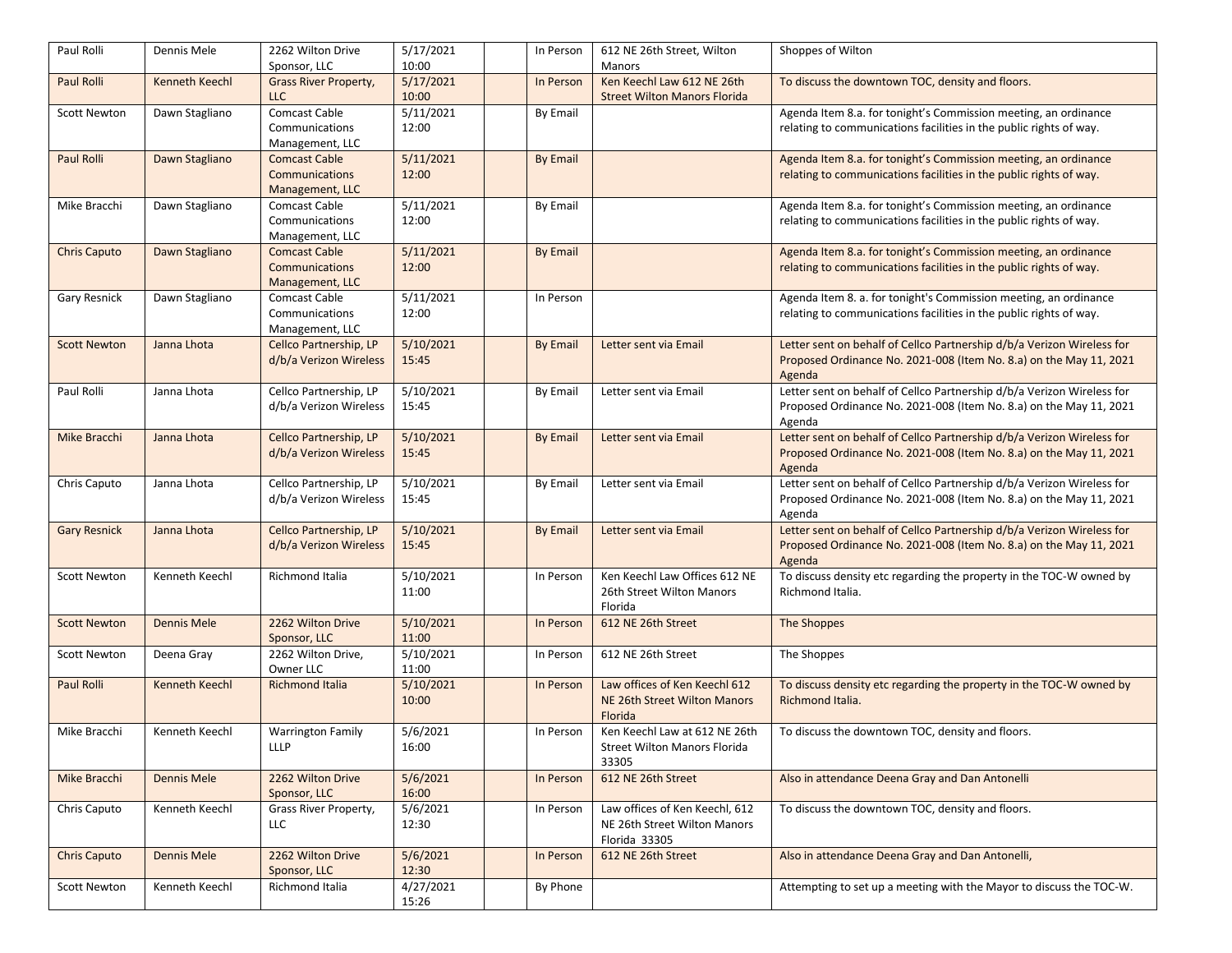| Paul Rolli          | Dennis Mele           | 2262 Wilton Drive            | 5/17/2021 | In Person       | 612 NE 26th Street, Wilton          | Shoppes of Wilton                                                      |
|---------------------|-----------------------|------------------------------|-----------|-----------------|-------------------------------------|------------------------------------------------------------------------|
|                     |                       | Sponsor, LLC                 | 10:00     |                 | Manors                              |                                                                        |
| Paul Rolli          | <b>Kenneth Keechl</b> | <b>Grass River Property,</b> | 5/17/2021 | In Person       | Ken Keechl Law 612 NE 26th          | To discuss the downtown TOC, density and floors.                       |
|                     |                       | <b>LLC</b>                   | 10:00     |                 | <b>Street Wilton Manors Florida</b> |                                                                        |
| <b>Scott Newton</b> | Dawn Stagliano        | <b>Comcast Cable</b>         | 5/11/2021 | By Email        |                                     | Agenda Item 8.a. for tonight's Commission meeting, an ordinance        |
|                     |                       | Communications               | 12:00     |                 |                                     | relating to communications facilities in the public rights of way.     |
|                     |                       | Management, LLC              |           |                 |                                     |                                                                        |
| Paul Rolli          | Dawn Stagliano        | <b>Comcast Cable</b>         | 5/11/2021 | <b>By Email</b> |                                     | Agenda Item 8.a. for tonight's Commission meeting, an ordinance        |
|                     |                       | <b>Communications</b>        | 12:00     |                 |                                     | relating to communications facilities in the public rights of way.     |
|                     |                       | Management, LLC              |           |                 |                                     |                                                                        |
| Mike Bracchi        | Dawn Stagliano        | <b>Comcast Cable</b>         | 5/11/2021 | By Email        |                                     | Agenda Item 8.a. for tonight's Commission meeting, an ordinance        |
|                     |                       | Communications               | 12:00     |                 |                                     | relating to communications facilities in the public rights of way.     |
|                     |                       | Management, LLC              |           |                 |                                     |                                                                        |
| <b>Chris Caputo</b> | Dawn Stagliano        | <b>Comcast Cable</b>         | 5/11/2021 | <b>By Email</b> |                                     | Agenda Item 8.a. for tonight's Commission meeting, an ordinance        |
|                     |                       | <b>Communications</b>        | 12:00     |                 |                                     | relating to communications facilities in the public rights of way.     |
|                     |                       | Management, LLC              |           |                 |                                     |                                                                        |
| <b>Gary Resnick</b> | Dawn Stagliano        | <b>Comcast Cable</b>         | 5/11/2021 | In Person       |                                     | Agenda Item 8. a. for tonight's Commission meeting, an ordinance       |
|                     |                       | Communications               | 12:00     |                 |                                     | relating to communications facilities in the public rights of way.     |
|                     |                       | Management, LLC              |           |                 |                                     |                                                                        |
| <b>Scott Newton</b> | Janna Lhota           | Cellco Partnership, LP       | 5/10/2021 | <b>By Email</b> | Letter sent via Email               | Letter sent on behalf of Cellco Partnership d/b/a Verizon Wireless for |
|                     |                       | d/b/a Verizon Wireless       | 15:45     |                 |                                     | Proposed Ordinance No. 2021-008 (Item No. 8.a) on the May 11, 2021     |
|                     |                       |                              |           |                 |                                     | Agenda                                                                 |
| Paul Rolli          | Janna Lhota           | Cellco Partnership, LP       | 5/10/2021 | By Email        | Letter sent via Email               | Letter sent on behalf of Cellco Partnership d/b/a Verizon Wireless for |
|                     |                       | d/b/a Verizon Wireless       | 15:45     |                 |                                     | Proposed Ordinance No. 2021-008 (Item No. 8.a) on the May 11, 2021     |
|                     |                       |                              |           |                 |                                     | Agenda                                                                 |
| Mike Bracchi        | Janna Lhota           | Cellco Partnership, LP       | 5/10/2021 | <b>By Email</b> | Letter sent via Email               | Letter sent on behalf of Cellco Partnership d/b/a Verizon Wireless for |
|                     |                       | d/b/a Verizon Wireless       | 15:45     |                 |                                     | Proposed Ordinance No. 2021-008 (Item No. 8.a) on the May 11, 2021     |
|                     |                       |                              |           |                 |                                     | Agenda                                                                 |
| Chris Caputo        | Janna Lhota           | Cellco Partnership, LP       | 5/10/2021 | By Email        | Letter sent via Email               | Letter sent on behalf of Cellco Partnership d/b/a Verizon Wireless for |
|                     |                       | d/b/a Verizon Wireless       | 15:45     |                 |                                     | Proposed Ordinance No. 2021-008 (Item No. 8.a) on the May 11, 2021     |
|                     |                       |                              |           |                 |                                     | Agenda                                                                 |
| <b>Gary Resnick</b> | Janna Lhota           | Cellco Partnership, LP       | 5/10/2021 | <b>By Email</b> | Letter sent via Email               | Letter sent on behalf of Cellco Partnership d/b/a Verizon Wireless for |
|                     |                       | d/b/a Verizon Wireless       | 15:45     |                 |                                     | Proposed Ordinance No. 2021-008 (Item No. 8.a) on the May 11, 2021     |
|                     |                       |                              |           |                 |                                     | Agenda                                                                 |
| <b>Scott Newton</b> | Kenneth Keechl        | Richmond Italia              | 5/10/2021 | In Person       | Ken Keechl Law Offices 612 NE       | To discuss density etc regarding the property in the TOC-W owned by    |
|                     |                       |                              | 11:00     |                 | 26th Street Wilton Manors           | Richmond Italia.                                                       |
|                     |                       |                              |           |                 | Florida                             |                                                                        |
| <b>Scott Newton</b> | <b>Dennis Mele</b>    | 2262 Wilton Drive            | 5/10/2021 | In Person       | 612 NE 26th Street                  | The Shoppes                                                            |
|                     |                       | Sponsor, LLC                 | 11:00     |                 |                                     |                                                                        |
| <b>Scott Newton</b> | Deena Gray            | 2262 Wilton Drive,           | 5/10/2021 | In Person       | 612 NE 26th Street                  | The Shoppes                                                            |
|                     |                       | Owner LLC                    | 11:00     |                 |                                     |                                                                        |
| Paul Rolli          | <b>Kenneth Keechl</b> | <b>Richmond Italia</b>       | 5/10/2021 | In Person       | Law offices of Ken Keechl 612       | To discuss density etc regarding the property in the TOC-W owned by    |
|                     |                       |                              | 10:00     |                 | NE 26th Street Wilton Manors        | Richmond Italia.                                                       |
|                     |                       |                              |           |                 | Florida                             |                                                                        |
| Mike Bracchi        | Kenneth Keechl        | <b>Warrington Family</b>     | 5/6/2021  | In Person       | Ken Keechl Law at 612 NE 26th       | To discuss the downtown TOC, density and floors.                       |
|                     |                       | <b>LLLP</b>                  | 16:00     |                 | <b>Street Wilton Manors Florida</b> |                                                                        |
|                     |                       |                              |           |                 | 33305                               |                                                                        |
| Mike Bracchi        | <b>Dennis Mele</b>    | 2262 Wilton Drive            | 5/6/2021  | In Person       | 612 NE 26th Street                  | Also in attendance Deena Gray and Dan Antonelli                        |
|                     |                       | Sponsor, LLC                 | 16:00     |                 |                                     |                                                                        |
| Chris Caputo        | Kenneth Keechl        | Grass River Property,        | 5/6/2021  | In Person       | Law offices of Ken Keechl, 612      | To discuss the downtown TOC, density and floors.                       |
|                     |                       | LLC                          | 12:30     |                 | NE 26th Street Wilton Manors        |                                                                        |
|                     |                       |                              |           |                 | Florida 33305                       |                                                                        |
| <b>Chris Caputo</b> | <b>Dennis Mele</b>    | 2262 Wilton Drive            | 5/6/2021  | In Person       | 612 NE 26th Street                  | Also in attendance Deena Gray and Dan Antonelli,                       |
|                     |                       | Sponsor, LLC                 | 12:30     |                 |                                     |                                                                        |
| Scott Newton        | Kenneth Keechl        | Richmond Italia              | 4/27/2021 | By Phone        |                                     | Attempting to set up a meeting with the Mayor to discuss the TOC-W.    |
|                     |                       |                              | 15:26     |                 |                                     |                                                                        |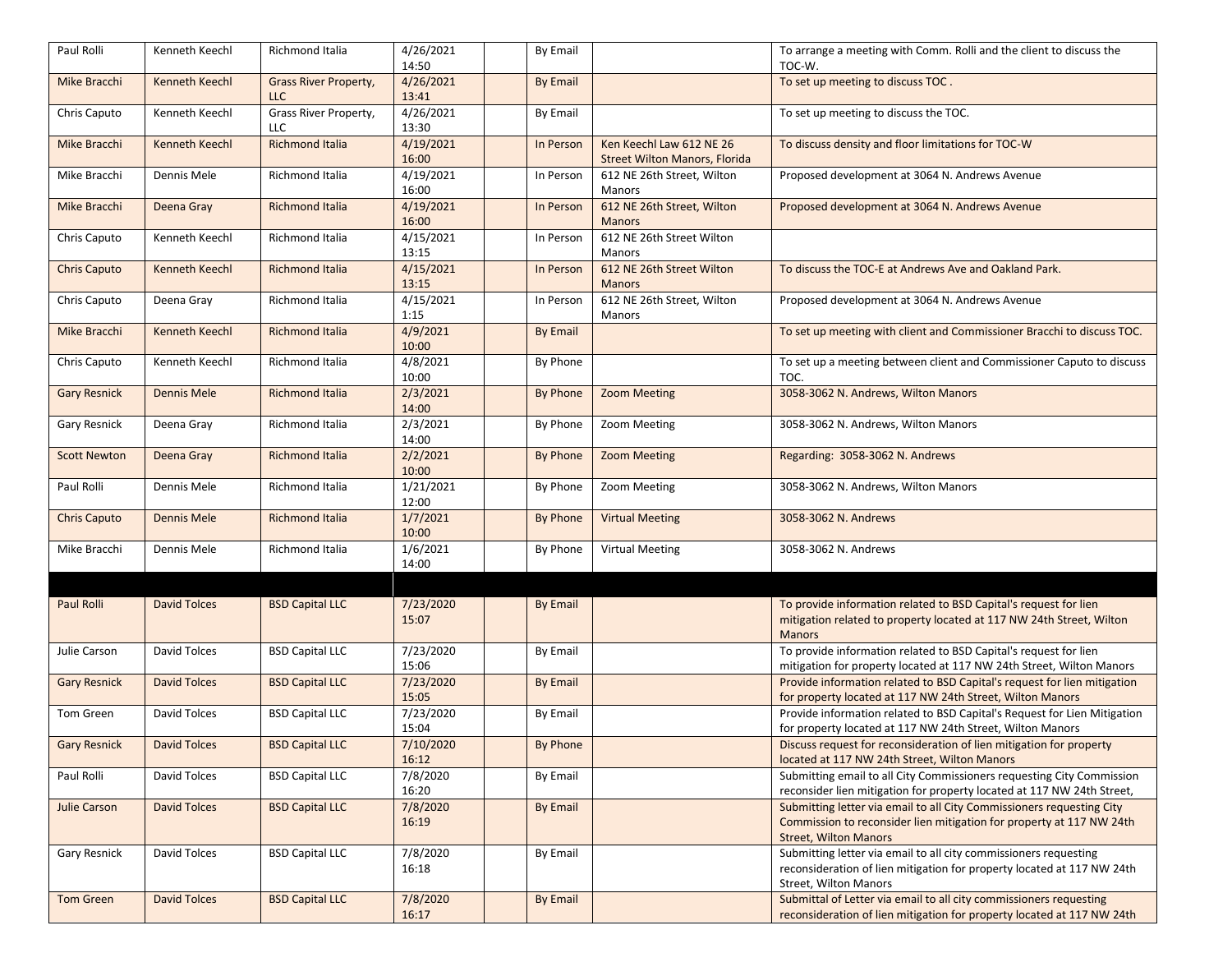| Paul Rolli          | Kenneth Keechl        | Richmond Italia                     | 4/26/2021<br>14:50 | By Email        |                                                                  | To arrange a meeting with Comm. Rolli and the client to discuss the<br>TOC-W.                                                                                                 |
|---------------------|-----------------------|-------------------------------------|--------------------|-----------------|------------------------------------------------------------------|-------------------------------------------------------------------------------------------------------------------------------------------------------------------------------|
| Mike Bracchi        | Kenneth Keechl        | <b>Grass River Property,</b><br>LLC | 4/26/2021<br>13:41 | <b>By Email</b> |                                                                  | To set up meeting to discuss TOC.                                                                                                                                             |
| Chris Caputo        | Kenneth Keechl        | Grass River Property,<br><b>LLC</b> | 4/26/2021<br>13:30 | By Email        |                                                                  | To set up meeting to discuss the TOC.                                                                                                                                         |
| Mike Bracchi        | <b>Kenneth Keechl</b> | <b>Richmond Italia</b>              | 4/19/2021<br>16:00 | In Person       | Ken Keechl Law 612 NE 26<br><b>Street Wilton Manors, Florida</b> | To discuss density and floor limitations for TOC-W                                                                                                                            |
| Mike Bracchi        | Dennis Mele           | Richmond Italia                     | 4/19/2021<br>16:00 | In Person       | 612 NE 26th Street, Wilton<br>Manors                             | Proposed development at 3064 N. Andrews Avenue                                                                                                                                |
| Mike Bracchi        | Deena Gray            | <b>Richmond Italia</b>              | 4/19/2021<br>16:00 | In Person       | 612 NE 26th Street, Wilton<br><b>Manors</b>                      | Proposed development at 3064 N. Andrews Avenue                                                                                                                                |
| Chris Caputo        | Kenneth Keechl        | Richmond Italia                     | 4/15/2021<br>13:15 | In Person       | 612 NE 26th Street Wilton<br>Manors                              |                                                                                                                                                                               |
| <b>Chris Caputo</b> | Kenneth Keechl        | Richmond Italia                     | 4/15/2021<br>13:15 | In Person       | 612 NE 26th Street Wilton<br><b>Manors</b>                       | To discuss the TOC-E at Andrews Ave and Oakland Park.                                                                                                                         |
| Chris Caputo        | Deena Gray            | Richmond Italia                     | 4/15/2021<br>1:15  | In Person       | 612 NE 26th Street, Wilton<br>Manors                             | Proposed development at 3064 N. Andrews Avenue                                                                                                                                |
| Mike Bracchi        | Kenneth Keechl        | <b>Richmond Italia</b>              | 4/9/2021<br>10:00  | <b>By Email</b> |                                                                  | To set up meeting with client and Commissioner Bracchi to discuss TOC.                                                                                                        |
| Chris Caputo        | Kenneth Keechl        | Richmond Italia                     | 4/8/2021<br>10:00  | By Phone        |                                                                  | To set up a meeting between client and Commissioner Caputo to discuss<br>TOC.                                                                                                 |
| <b>Gary Resnick</b> | <b>Dennis Mele</b>    | <b>Richmond Italia</b>              | 2/3/2021<br>14:00  | <b>By Phone</b> | <b>Zoom Meeting</b>                                              | 3058-3062 N. Andrews, Wilton Manors                                                                                                                                           |
| <b>Gary Resnick</b> | Deena Gray            | Richmond Italia                     | 2/3/2021<br>14:00  | By Phone        | Zoom Meeting                                                     | 3058-3062 N. Andrews, Wilton Manors                                                                                                                                           |
| <b>Scott Newton</b> | Deena Gray            | Richmond Italia                     | 2/2/2021<br>10:00  | <b>By Phone</b> | <b>Zoom Meeting</b>                                              | Regarding: 3058-3062 N. Andrews                                                                                                                                               |
| Paul Rolli          | Dennis Mele           | Richmond Italia                     | 1/21/2021<br>12:00 | By Phone        | Zoom Meeting                                                     | 3058-3062 N. Andrews, Wilton Manors                                                                                                                                           |
| <b>Chris Caputo</b> | <b>Dennis Mele</b>    | <b>Richmond Italia</b>              | 1/7/2021<br>10:00  | <b>By Phone</b> | <b>Virtual Meeting</b>                                           | 3058-3062 N. Andrews                                                                                                                                                          |
| Mike Bracchi        | Dennis Mele           | Richmond Italia                     | 1/6/2021<br>14:00  | By Phone        | <b>Virtual Meeting</b>                                           | 3058-3062 N. Andrews                                                                                                                                                          |
|                     |                       |                                     |                    |                 |                                                                  |                                                                                                                                                                               |
| Paul Rolli          | <b>David Tolces</b>   | <b>BSD Capital LLC</b>              | 7/23/2020<br>15:07 | <b>By Email</b> |                                                                  | To provide information related to BSD Capital's request for lien<br>mitigation related to property located at 117 NW 24th Street, Wilton<br><b>Manors</b>                     |
| Julie Carson        | David Tolces          | <b>BSD Capital LLC</b>              | 7/23/2020<br>15:06 | By Email        |                                                                  | To provide information related to BSD Capital's request for lien<br>mitigation for property located at 117 NW 24th Street, Wilton Manors                                      |
| <b>Gary Resnick</b> | <b>David Tolces</b>   | <b>BSD Capital LLC</b>              | 7/23/2020<br>15:05 | <b>By Email</b> |                                                                  | Provide information related to BSD Capital's request for lien mitigation<br>for property located at 117 NW 24th Street, Wilton Manors                                         |
| Tom Green           | David Tolces          | <b>BSD Capital LLC</b>              | 7/23/2020<br>15:04 | <b>By Email</b> |                                                                  | Provide information related to BSD Capital's Request for Lien Mitigation<br>for property located at 117 NW 24th Street, Wilton Manors                                         |
| <b>Gary Resnick</b> | David Tolces          | <b>BSD Capital LLC</b>              | 7/10/2020<br>16:12 | <b>By Phone</b> |                                                                  | Discuss request for reconsideration of lien mitigation for property<br>located at 117 NW 24th Street, Wilton Manors                                                           |
| Paul Rolli          | David Tolces          | <b>BSD Capital LLC</b>              | 7/8/2020<br>16:20  | By Email        |                                                                  | Submitting email to all City Commissioners requesting City Commission<br>reconsider lien mitigation for property located at 117 NW 24th Street,                               |
| <b>Julie Carson</b> | <b>David Tolces</b>   | <b>BSD Capital LLC</b>              | 7/8/2020<br>16:19  | <b>By Email</b> |                                                                  | Submitting letter via email to all City Commissioners requesting City<br>Commission to reconsider lien mitigation for property at 117 NW 24th<br><b>Street, Wilton Manors</b> |
| Gary Resnick        | David Tolces          | <b>BSD Capital LLC</b>              | 7/8/2020<br>16:18  | By Email        |                                                                  | Submitting letter via email to all city commissioners requesting<br>reconsideration of lien mitigation for property located at 117 NW 24th<br>Street, Wilton Manors           |
| <b>Tom Green</b>    | <b>David Tolces</b>   | <b>BSD Capital LLC</b>              | 7/8/2020<br>16:17  | <b>By Email</b> |                                                                  | Submittal of Letter via email to all city commissioners requesting<br>reconsideration of lien mitigation for property located at 117 NW 24th                                  |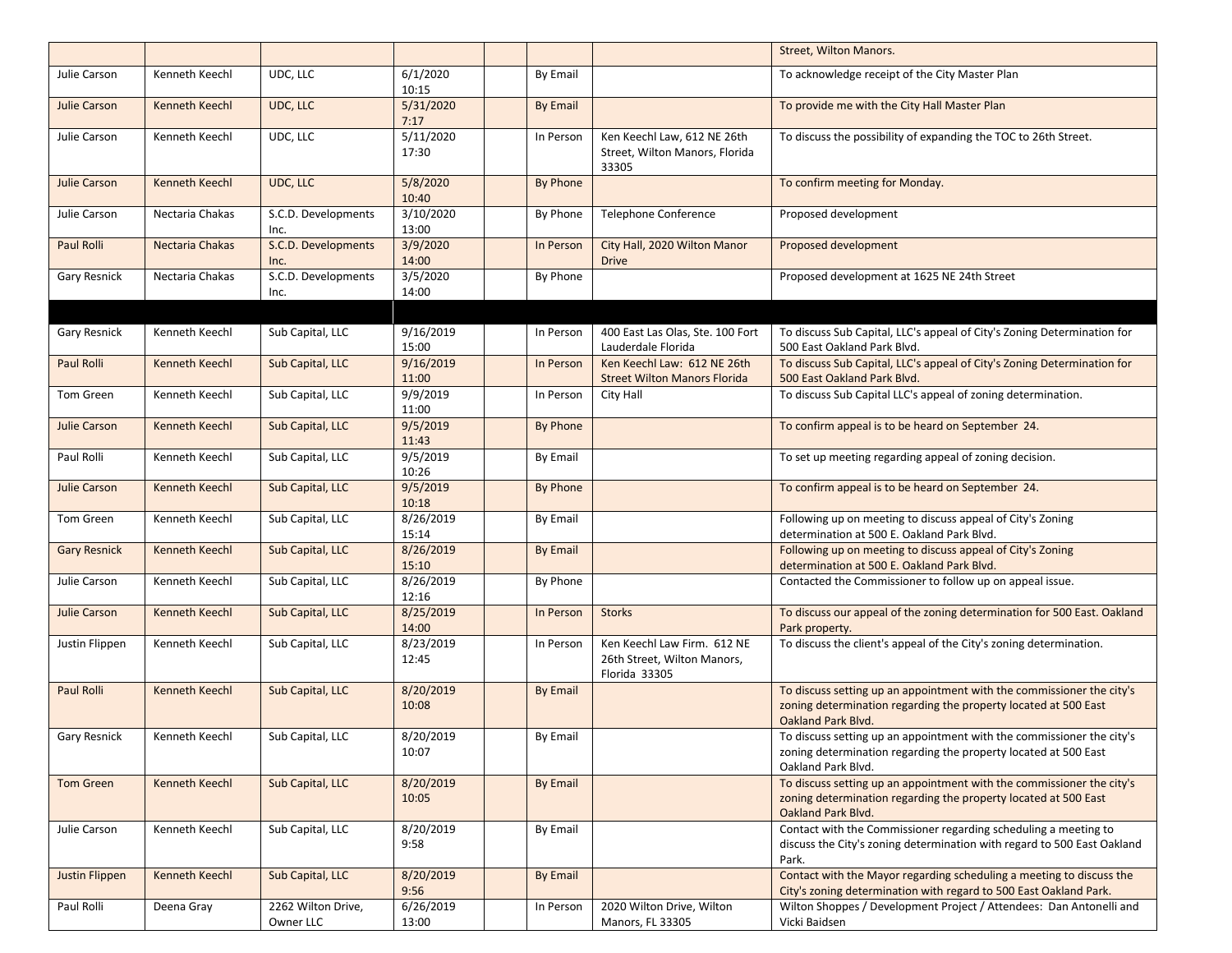|                       |                       |                                 |                    |                 |                                                                             | Street, Wilton Manors.                                                                                                                                         |
|-----------------------|-----------------------|---------------------------------|--------------------|-----------------|-----------------------------------------------------------------------------|----------------------------------------------------------------------------------------------------------------------------------------------------------------|
| Julie Carson          | Kenneth Keechl        | UDC, LLC                        | 6/1/2020<br>10:15  | By Email        |                                                                             | To acknowledge receipt of the City Master Plan                                                                                                                 |
| <b>Julie Carson</b>   | Kenneth Keechl        | UDC, LLC                        | 5/31/2020<br>7:17  | <b>By Email</b> |                                                                             | To provide me with the City Hall Master Plan                                                                                                                   |
| Julie Carson          | Kenneth Keechl        | UDC, LLC                        | 5/11/2020<br>17:30 | In Person       | Ken Keechl Law, 612 NE 26th<br>Street, Wilton Manors, Florida<br>33305      | To discuss the possibility of expanding the TOC to 26th Street.                                                                                                |
| <b>Julie Carson</b>   | <b>Kenneth Keechl</b> | UDC, LLC                        | 5/8/2020<br>10:40  | <b>By Phone</b> |                                                                             | To confirm meeting for Monday.                                                                                                                                 |
| Julie Carson          | Nectaria Chakas       | S.C.D. Developments<br>Inc.     | 3/10/2020<br>13:00 | By Phone        | <b>Telephone Conference</b>                                                 | Proposed development                                                                                                                                           |
| Paul Rolli            | Nectaria Chakas       | S.C.D. Developments<br>Inc.     | 3/9/2020<br>14:00  | In Person       | City Hall, 2020 Wilton Manor<br><b>Drive</b>                                | Proposed development                                                                                                                                           |
| Gary Resnick          | Nectaria Chakas       | S.C.D. Developments<br>Inc.     | 3/5/2020<br>14:00  | By Phone        |                                                                             | Proposed development at 1625 NE 24th Street                                                                                                                    |
|                       |                       |                                 |                    |                 |                                                                             |                                                                                                                                                                |
| Gary Resnick          | Kenneth Keechl        | Sub Capital, LLC                | 9/16/2019<br>15:00 | In Person       | 400 East Las Olas, Ste. 100 Fort<br>Lauderdale Florida                      | To discuss Sub Capital, LLC's appeal of City's Zoning Determination for<br>500 East Oakland Park Blvd.                                                         |
| <b>Paul Rolli</b>     | <b>Kenneth Keechl</b> | Sub Capital, LLC                | 9/16/2019<br>11:00 | In Person       | Ken Keechl Law: 612 NE 26th<br><b>Street Wilton Manors Florida</b>          | To discuss Sub Capital, LLC's appeal of City's Zoning Determination for<br>500 East Oakland Park Blvd.                                                         |
| Tom Green             | Kenneth Keechl        | Sub Capital, LLC                | 9/9/2019<br>11:00  | In Person       | City Hall                                                                   | To discuss Sub Capital LLC's appeal of zoning determination.                                                                                                   |
| <b>Julie Carson</b>   | Kenneth Keechl        | Sub Capital, LLC                | 9/5/2019<br>11:43  | <b>By Phone</b> |                                                                             | To confirm appeal is to be heard on September 24.                                                                                                              |
| Paul Rolli            | Kenneth Keechl        | Sub Capital, LLC                | 9/5/2019<br>10:26  | By Email        |                                                                             | To set up meeting regarding appeal of zoning decision.                                                                                                         |
| <b>Julie Carson</b>   | Kenneth Keechl        | Sub Capital, LLC                | 9/5/2019<br>10:18  | By Phone        |                                                                             | To confirm appeal is to be heard on September 24.                                                                                                              |
| Tom Green             | Kenneth Keechl        | Sub Capital, LLC                | 8/26/2019<br>15:14 | By Email        |                                                                             | Following up on meeting to discuss appeal of City's Zoning<br>determination at 500 E. Oakland Park Blvd.                                                       |
| <b>Gary Resnick</b>   | <b>Kenneth Keechl</b> | Sub Capital, LLC                | 8/26/2019<br>15:10 | <b>By Email</b> |                                                                             | Following up on meeting to discuss appeal of City's Zoning<br>determination at 500 E. Oakland Park Blvd.                                                       |
| Julie Carson          | Kenneth Keechl        | Sub Capital, LLC                | 8/26/2019<br>12:16 | By Phone        |                                                                             | Contacted the Commissioner to follow up on appeal issue.                                                                                                       |
| <b>Julie Carson</b>   | <b>Kenneth Keechl</b> | Sub Capital, LLC                | 8/25/2019<br>14:00 | In Person       | <b>Storks</b>                                                               | To discuss our appeal of the zoning determination for 500 East. Oakland<br>Park property.                                                                      |
| Justin Flippen        | Kenneth Keechl        | Sub Capital, LLC                | 8/23/2019<br>12:45 | In Person       | Ken Keechl Law Firm. 612 NE<br>26th Street, Wilton Manors,<br>Florida 33305 | To discuss the client's appeal of the City's zoning determination.                                                                                             |
| Paul Rolli            | Kenneth Keechl        | Sub Capital, LLC                | 8/20/2019<br>10:08 | <b>By Email</b> |                                                                             | To discuss setting up an appointment with the commissioner the city's<br>zoning determination regarding the property located at 500 East<br>Oakland Park Blvd. |
| Gary Resnick          | Kenneth Keechl        | Sub Capital, LLC                | 8/20/2019<br>10:07 | By Email        |                                                                             | To discuss setting up an appointment with the commissioner the city's<br>zoning determination regarding the property located at 500 East<br>Oakland Park Blvd. |
| <b>Tom Green</b>      | <b>Kenneth Keechl</b> | Sub Capital, LLC                | 8/20/2019<br>10:05 | <b>By Email</b> |                                                                             | To discuss setting up an appointment with the commissioner the city's<br>zoning determination regarding the property located at 500 East<br>Oakland Park Blvd. |
| Julie Carson          | Kenneth Keechl        | Sub Capital, LLC                | 8/20/2019<br>9:58  | By Email        |                                                                             | Contact with the Commissioner regarding scheduling a meeting to<br>discuss the City's zoning determination with regard to 500 East Oakland<br>Park.            |
| <b>Justin Flippen</b> | Kenneth Keechl        | Sub Capital, LLC                | 8/20/2019<br>9:56  | <b>By Email</b> |                                                                             | Contact with the Mayor regarding scheduling a meeting to discuss the<br>City's zoning determination with regard to 500 East Oakland Park.                      |
| Paul Rolli            | Deena Gray            | 2262 Wilton Drive,<br>Owner LLC | 6/26/2019<br>13:00 | In Person       | 2020 Wilton Drive, Wilton<br>Manors, FL 33305                               | Wilton Shoppes / Development Project / Attendees: Dan Antonelli and<br>Vicki Baidsen                                                                           |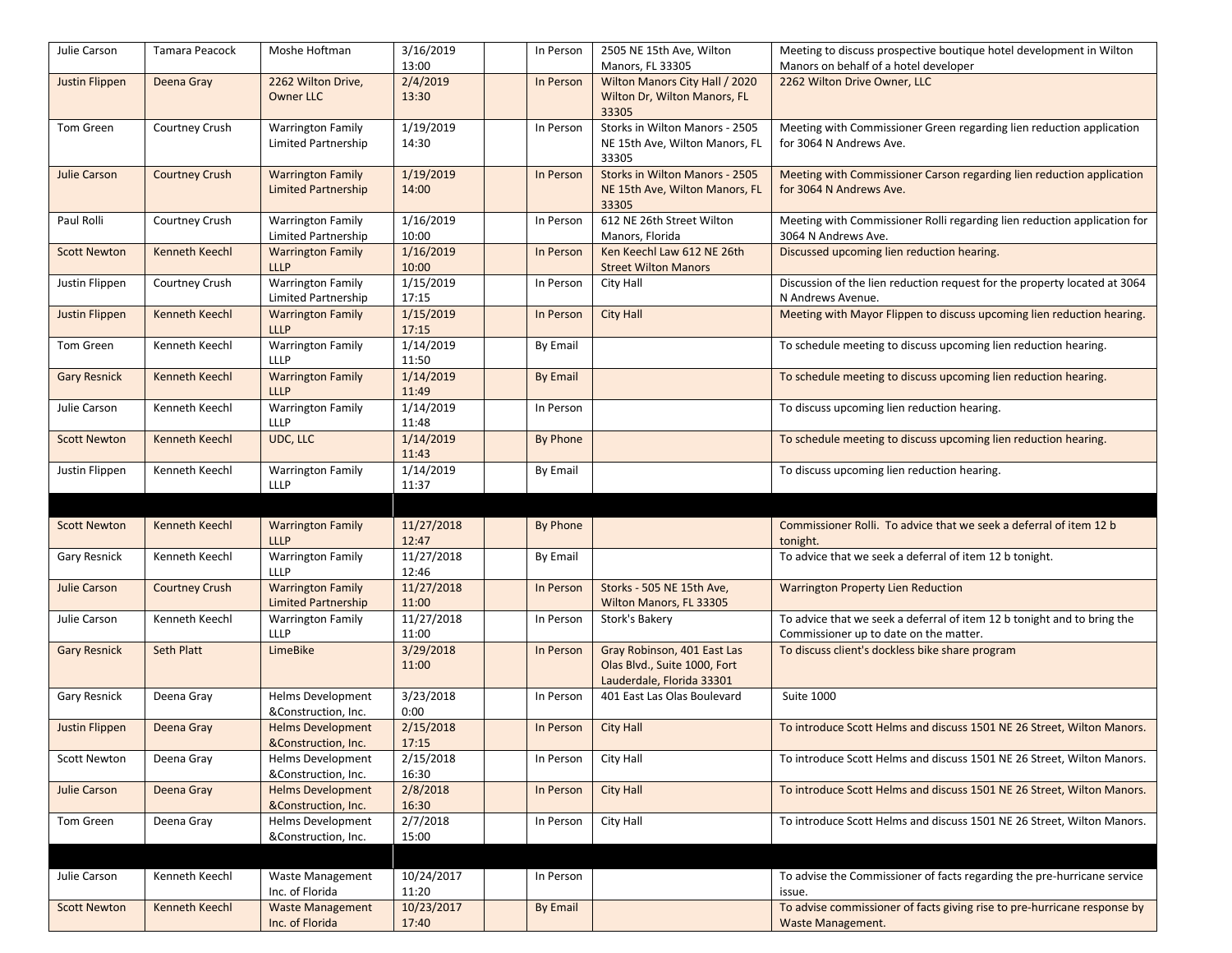| Julie Carson          | Tamara Peacock        | Moshe Hoftman                                          | 3/16/2019<br>13:00  | In Person       | 2505 NE 15th Ave, Wilton<br>Manors, FL 33305                                             | Meeting to discuss prospective boutique hotel development in Wilton<br>Manors on behalf of a hotel developer      |
|-----------------------|-----------------------|--------------------------------------------------------|---------------------|-----------------|------------------------------------------------------------------------------------------|-------------------------------------------------------------------------------------------------------------------|
| <b>Justin Flippen</b> | Deena Gray            | 2262 Wilton Drive,<br>Owner LLC                        | 2/4/2019<br>13:30   | In Person       | Wilton Manors City Hall / 2020<br>Wilton Dr, Wilton Manors, FL<br>33305                  | 2262 Wilton Drive Owner, LLC                                                                                      |
| Tom Green             | Courtney Crush        | <b>Warrington Family</b><br>Limited Partnership        | 1/19/2019<br>14:30  | In Person       | Storks in Wilton Manors - 2505<br>NE 15th Ave, Wilton Manors, FL<br>33305                | Meeting with Commissioner Green regarding lien reduction application<br>for 3064 N Andrews Ave.                   |
| <b>Julie Carson</b>   | <b>Courtney Crush</b> | <b>Warrington Family</b><br><b>Limited Partnership</b> | 1/19/2019<br>14:00  | In Person       | Storks in Wilton Manors - 2505<br>NE 15th Ave, Wilton Manors, FL<br>33305                | Meeting with Commissioner Carson regarding lien reduction application<br>for 3064 N Andrews Ave.                  |
| Paul Rolli            | Courtney Crush        | <b>Warrington Family</b><br>Limited Partnership        | 1/16/2019<br>10:00  | In Person       | 612 NE 26th Street Wilton<br>Manors, Florida                                             | Meeting with Commissioner Rolli regarding lien reduction application for<br>3064 N Andrews Ave.                   |
| <b>Scott Newton</b>   | <b>Kenneth Keechl</b> | <b>Warrington Family</b><br><b>LLLP</b>                | 1/16/2019<br>10:00  | In Person       | Ken Keechl Law 612 NE 26th<br><b>Street Wilton Manors</b>                                | Discussed upcoming lien reduction hearing.                                                                        |
| Justin Flippen        | Courtney Crush        | <b>Warrington Family</b><br>Limited Partnership        | 1/15/2019<br>17:15  | In Person       | City Hall                                                                                | Discussion of the lien reduction request for the property located at 3064<br>N Andrews Avenue.                    |
| <b>Justin Flippen</b> | Kenneth Keechl        | <b>Warrington Family</b><br><b>LLLP</b>                | 1/15/2019<br>17:15  | In Person       | <b>City Hall</b>                                                                         | Meeting with Mayor Flippen to discuss upcoming lien reduction hearing.                                            |
| Tom Green             | Kenneth Keechl        | <b>Warrington Family</b><br>LLLP                       | 1/14/2019<br>11:50  | By Email        |                                                                                          | To schedule meeting to discuss upcoming lien reduction hearing.                                                   |
| <b>Gary Resnick</b>   | Kenneth Keechl        | <b>Warrington Family</b><br>LLLP                       | 1/14/2019<br>11:49  | <b>By Email</b> |                                                                                          | To schedule meeting to discuss upcoming lien reduction hearing.                                                   |
| Julie Carson          | Kenneth Keechl        | <b>Warrington Family</b><br><b>LLLP</b>                | 1/14/2019<br>11:48  | In Person       |                                                                                          | To discuss upcoming lien reduction hearing.                                                                       |
| <b>Scott Newton</b>   | <b>Kenneth Keechl</b> | UDC, LLC                                               | 1/14/2019<br>11:43  | <b>By Phone</b> |                                                                                          | To schedule meeting to discuss upcoming lien reduction hearing.                                                   |
| Justin Flippen        | Kenneth Keechl        | <b>Warrington Family</b><br><b>LLLP</b>                | 1/14/2019<br>11:37  | By Email        |                                                                                          | To discuss upcoming lien reduction hearing.                                                                       |
|                       |                       |                                                        |                     |                 |                                                                                          |                                                                                                                   |
| <b>Scott Newton</b>   | Kenneth Keechl        | <b>Warrington Family</b><br><b>LLLP</b>                | 11/27/2018<br>12:47 | By Phone        |                                                                                          | Commissioner Rolli. To advice that we seek a deferral of item 12 b<br>tonight.                                    |
| Gary Resnick          | Kenneth Keechl        | <b>Warrington Family</b><br><b>LLLP</b>                | 11/27/2018<br>12:46 | By Email        |                                                                                          | To advice that we seek a deferral of item 12 b tonight.                                                           |
| <b>Julie Carson</b>   | <b>Courtney Crush</b> | <b>Warrington Family</b><br><b>Limited Partnership</b> | 11/27/2018<br>11:00 | In Person       | Storks - 505 NE 15th Ave,<br>Wilton Manors, FL 33305                                     | <b>Warrington Property Lien Reduction</b>                                                                         |
| Julie Carson          | Kenneth Keechl        | <b>Warrington Family</b><br><b>LLLP</b>                | 11/27/2018<br>11:00 | In Person       | Stork's Bakery                                                                           | To advice that we seek a deferral of item 12 b tonight and to bring the<br>Commissioner up to date on the matter. |
| <b>Gary Resnick</b>   | Seth Platt            | LimeBike                                               | 3/29/2018<br>11:00  | In Person       | Gray Robinson, 401 East Las<br>Olas Blvd., Suite 1000, Fort<br>Lauderdale, Florida 33301 | To discuss client's dockless bike share program                                                                   |
| Gary Resnick          | Deena Gray            | <b>Helms Development</b><br>&Construction, Inc.        | 3/23/2018<br>0:00   | In Person       | 401 East Las Olas Boulevard                                                              | <b>Suite 1000</b>                                                                                                 |
| <b>Justin Flippen</b> | Deena Gray            | <b>Helms Development</b><br>&Construction, Inc.        | 2/15/2018<br>17:15  | In Person       | <b>City Hall</b>                                                                         | To introduce Scott Helms and discuss 1501 NE 26 Street, Wilton Manors.                                            |
| <b>Scott Newton</b>   | Deena Gray            | <b>Helms Development</b><br>&Construction, Inc.        | 2/15/2018<br>16:30  | In Person       | City Hall                                                                                | To introduce Scott Helms and discuss 1501 NE 26 Street, Wilton Manors.                                            |
| <b>Julie Carson</b>   | Deena Gray            | <b>Helms Development</b><br>&Construction, Inc.        | 2/8/2018<br>16:30   | In Person       | <b>City Hall</b>                                                                         | To introduce Scott Helms and discuss 1501 NE 26 Street, Wilton Manors.                                            |
| Tom Green             | Deena Gray            | <b>Helms Development</b><br>&Construction, Inc.        | 2/7/2018<br>15:00   | In Person       | City Hall                                                                                | To introduce Scott Helms and discuss 1501 NE 26 Street, Wilton Manors.                                            |
|                       |                       |                                                        |                     |                 |                                                                                          |                                                                                                                   |
|                       |                       |                                                        |                     |                 |                                                                                          |                                                                                                                   |
| Julie Carson          | Kenneth Keechl        | Waste Management<br>Inc. of Florida                    | 10/24/2017<br>11:20 | In Person       |                                                                                          | To advise the Commissioner of facts regarding the pre-hurricane service<br>issue.                                 |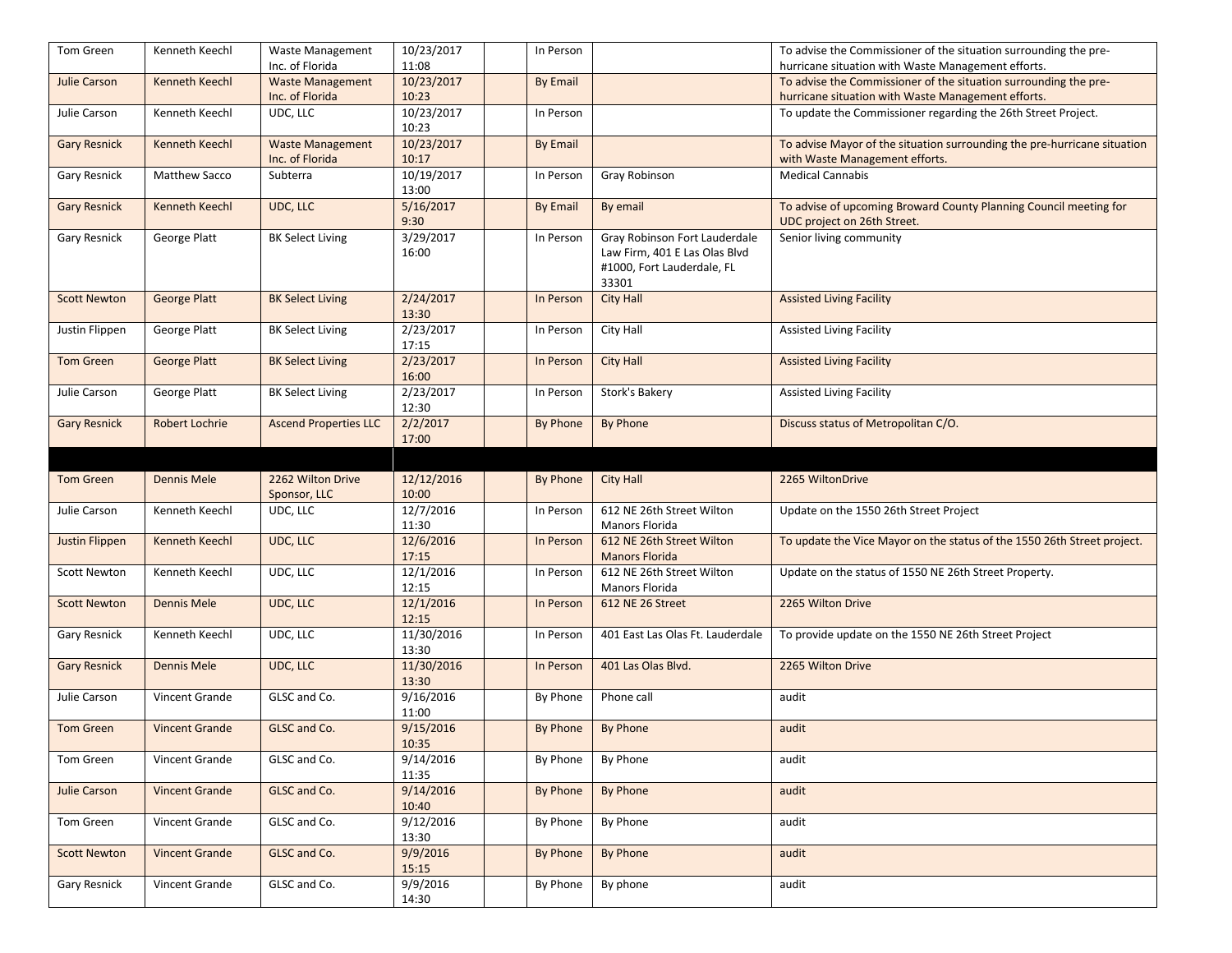| Tom Green             | Kenneth Keechl        | Waste Management             | 10/23/2017 | In Person       |                                  | To advise the Commissioner of the situation surrounding the pre-         |
|-----------------------|-----------------------|------------------------------|------------|-----------------|----------------------------------|--------------------------------------------------------------------------|
|                       |                       | Inc. of Florida              | 11:08      |                 |                                  | hurricane situation with Waste Management efforts.                       |
| <b>Julie Carson</b>   | Kenneth Keechl        | <b>Waste Management</b>      | 10/23/2017 | <b>By Email</b> |                                  | To advise the Commissioner of the situation surrounding the pre-         |
|                       |                       | Inc. of Florida              | 10:23      |                 |                                  | hurricane situation with Waste Management efforts.                       |
| Julie Carson          | Kenneth Keechl        | UDC, LLC                     | 10/23/2017 | In Person       |                                  | To update the Commissioner regarding the 26th Street Project.            |
|                       |                       |                              | 10:23      |                 |                                  |                                                                          |
| <b>Gary Resnick</b>   | <b>Kenneth Keechl</b> | <b>Waste Management</b>      | 10/23/2017 | <b>By Email</b> |                                  | To advise Mayor of the situation surrounding the pre-hurricane situation |
|                       |                       | Inc. of Florida              | 10:17      |                 |                                  | with Waste Management efforts.                                           |
| Gary Resnick          | Matthew Sacco         | Subterra                     | 10/19/2017 | In Person       | Gray Robinson                    | <b>Medical Cannabis</b>                                                  |
|                       |                       |                              | 13:00      |                 |                                  |                                                                          |
| <b>Gary Resnick</b>   | Kenneth Keechl        | UDC, LLC                     | 5/16/2017  | <b>By Email</b> | By email                         | To advise of upcoming Broward County Planning Council meeting for        |
|                       |                       |                              | 9:30       |                 |                                  | UDC project on 26th Street.                                              |
| Gary Resnick          | George Platt          | <b>BK Select Living</b>      | 3/29/2017  | In Person       | Gray Robinson Fort Lauderdale    | Senior living community                                                  |
|                       |                       |                              | 16:00      |                 | Law Firm, 401 E Las Olas Blvd    |                                                                          |
|                       |                       |                              |            |                 | #1000, Fort Lauderdale, FL       |                                                                          |
|                       |                       |                              |            |                 | 33301                            |                                                                          |
| <b>Scott Newton</b>   | <b>George Platt</b>   | <b>BK Select Living</b>      | 2/24/2017  | In Person       | <b>City Hall</b>                 | <b>Assisted Living Facility</b>                                          |
|                       |                       |                              | 13:30      |                 |                                  |                                                                          |
| Justin Flippen        | <b>George Platt</b>   | <b>BK Select Living</b>      | 2/23/2017  | In Person       | City Hall                        | <b>Assisted Living Facility</b>                                          |
|                       |                       |                              | 17:15      |                 |                                  |                                                                          |
| <b>Tom Green</b>      | <b>George Platt</b>   | <b>BK Select Living</b>      | 2/23/2017  | In Person       | <b>City Hall</b>                 | <b>Assisted Living Facility</b>                                          |
|                       |                       |                              | 16:00      |                 |                                  |                                                                          |
| Julie Carson          | George Platt          | <b>BK Select Living</b>      | 2/23/2017  | In Person       | Stork's Bakery                   | <b>Assisted Living Facility</b>                                          |
|                       |                       |                              | 12:30      |                 |                                  |                                                                          |
| <b>Gary Resnick</b>   | <b>Robert Lochrie</b> | <b>Ascend Properties LLC</b> | 2/2/2017   | <b>By Phone</b> | By Phone                         | Discuss status of Metropolitan C/O.                                      |
|                       |                       |                              | 17:00      |                 |                                  |                                                                          |
|                       |                       |                              |            |                 |                                  |                                                                          |
| <b>Tom Green</b>      | <b>Dennis Mele</b>    | 2262 Wilton Drive            | 12/12/2016 | <b>By Phone</b> | <b>City Hall</b>                 | 2265 WiltonDrive                                                         |
|                       |                       | Sponsor, LLC                 | 10:00      |                 |                                  |                                                                          |
| Julie Carson          | Kenneth Keechl        | UDC, LLC                     | 12/7/2016  | In Person       | 612 NE 26th Street Wilton        | Update on the 1550 26th Street Project                                   |
|                       |                       |                              | 11:30      |                 | Manors Florida                   |                                                                          |
| <b>Justin Flippen</b> | Kenneth Keechl        | UDC, LLC                     | 12/6/2016  | In Person       | 612 NE 26th Street Wilton        | To update the Vice Mayor on the status of the 1550 26th Street project.  |
|                       |                       |                              | 17:15      |                 | <b>Manors Florida</b>            |                                                                          |
| <b>Scott Newton</b>   | Kenneth Keechl        | UDC, LLC                     | 12/1/2016  | In Person       | 612 NE 26th Street Wilton        | Update on the status of 1550 NE 26th Street Property.                    |
|                       |                       |                              | 12:15      |                 | Manors Florida                   |                                                                          |
| <b>Scott Newton</b>   | <b>Dennis Mele</b>    | UDC, LLC                     | 12/1/2016  | In Person       | 612 NE 26 Street                 | 2265 Wilton Drive                                                        |
|                       |                       |                              | 12:15      |                 |                                  |                                                                          |
| Gary Resnick          | Kenneth Keechl        | UDC, LLC                     | 11/30/2016 | In Person       | 401 East Las Olas Ft. Lauderdale | To provide update on the 1550 NE 26th Street Project                     |
|                       |                       |                              | 13:30      |                 |                                  |                                                                          |
| <b>Gary Resnick</b>   | <b>Dennis Mele</b>    | UDC, LLC                     | 11/30/2016 | In Person       | 401 Las Olas Blvd.               | 2265 Wilton Drive                                                        |
|                       |                       |                              | 13:30      |                 |                                  |                                                                          |
| Julie Carson          | Vincent Grande        | GLSC and Co.                 | 9/16/2016  | By Phone        | Phone call                       | audit                                                                    |
|                       |                       |                              | 11:00      |                 |                                  |                                                                          |
| <b>Tom Green</b>      | <b>Vincent Grande</b> | GLSC and Co.                 | 9/15/2016  | By Phone        | By Phone                         | audit                                                                    |
|                       |                       |                              | 10:35      |                 |                                  |                                                                          |
| Tom Green             | Vincent Grande        | GLSC and Co.                 | 9/14/2016  | By Phone        | By Phone                         | audit                                                                    |
|                       |                       |                              | 11:35      |                 |                                  |                                                                          |
| <b>Julie Carson</b>   | <b>Vincent Grande</b> | GLSC and Co.                 | 9/14/2016  | By Phone        | By Phone                         | audit                                                                    |
|                       |                       |                              | 10:40      |                 |                                  |                                                                          |
| Tom Green             | Vincent Grande        | GLSC and Co.                 | 9/12/2016  | By Phone        | By Phone                         | audit                                                                    |
|                       |                       |                              | 13:30      |                 |                                  |                                                                          |
| <b>Scott Newton</b>   | <b>Vincent Grande</b> | GLSC and Co.                 | 9/9/2016   | <b>By Phone</b> | By Phone                         | audit                                                                    |
|                       |                       |                              | 15:15      |                 |                                  |                                                                          |
| Gary Resnick          | Vincent Grande        | GLSC and Co.                 | 9/9/2016   | By Phone        | By phone                         | audit                                                                    |
|                       |                       |                              | 14:30      |                 |                                  |                                                                          |